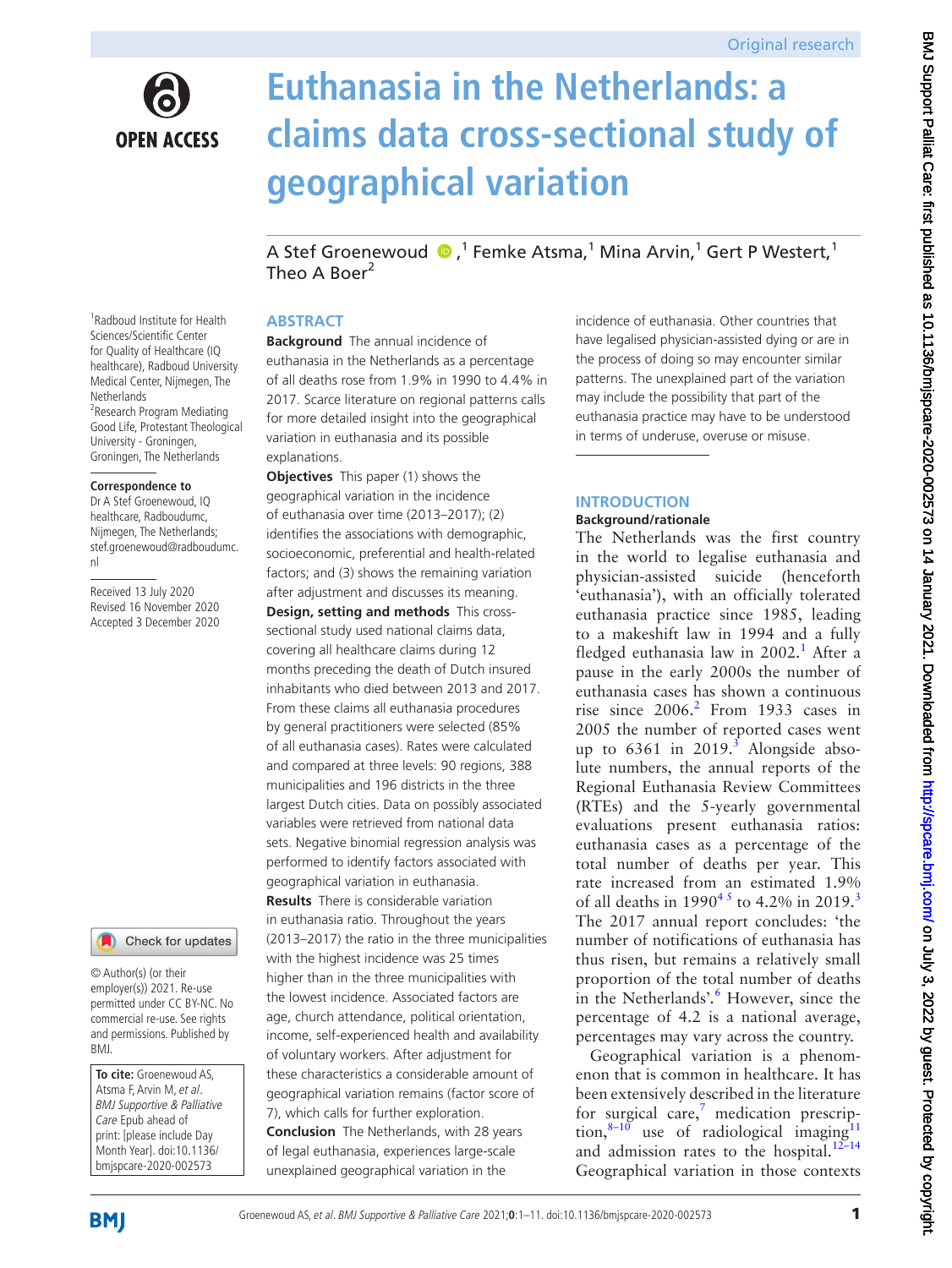

# **Euthanasia in the Netherlands: a claims data cross-sectional study of geographical variation**

AStef Groenewoud  $\bullet$  ,<sup>1</sup> Femke Atsma,<sup>1</sup> Mina Arvin,<sup>1</sup> Gert P Westert,<sup>1</sup> Theo A Boer<sup>2</sup>

## **ABSTRACT**

**Background** The annual incidence of euthanasia in the Netherlands as a percentage of all deaths rose from 1.9% in 1990 to 4.4% in 2017. Scarce literature on regional patterns calls for more detailed insight into the geographical variation in euthanasia and its possible explanations.

**Objectives** This paper (1) shows the geographical variation in the incidence of euthanasia over time (2013–2017); (2) identifies the associations with demographic, socioeconomic, preferential and health-related factors; and (3) shows the remaining variation after adjustment and discusses its meaning. **Design, setting and methods** This crosssectional study used national claims data, covering all healthcare claims during 12 months preceding the death of Dutch insured inhabitants who died between 2013 and 2017. From these claims all euthanasia procedures by general practitioners were selected (85% of all euthanasia cases). Rates were calculated and compared at three levels: 90 regions, 388 municipalities and 196 districts in the three largest Dutch cities. Data on possibly associated variables were retrieved from national data sets. Negative binomial regression analysis was performed to identify factors associated with geographical variation in euthanasia. **Results** There is considerable variation in euthanasia ratio. Throughout the years (2013–2017) the ratio in the three municipalities with the highest incidence was 25 times higher than in the three municipalities with the lowest incidence. Associated factors are age, church attendance, political orientation, income, self-experienced health and availability of voluntary workers. After adjustment for these characteristics a considerable amount of geographical variation remains (factor score of 7), which calls for further exploration. **Conclusion** The Netherlands, with 28 years

of legal euthanasia, experiences large-scale unexplained geographical variation in the

incidence of euthanasia. Other countries that have legalised physician-assisted dying or are in the process of doing so may encounter similar patterns. The unexplained part of the variation may include the possibility that part of the euthanasia practice may have to be understood in terms of underuse, overuse or misuse.

# **INTRODUCTION**

# **Background/rationale**

The Netherlands was the first country in the world to legalise euthanasia and physician-assisted suicide (henceforth 'euthanasia'), with an officially tolerated euthanasia practice since 1985, leading to a makeshift law in 1994 and a fully fledged euthanasia law in 2002.<sup>[1](#page-8-0)</sup> After a pause in the early 2000s the number of euthanasia cases has shown a continuous rise since  $2006<sup>2</sup>$  $2006<sup>2</sup>$  From 1933 cases in 2005 the number of reported cases went up to  $6361$  $6361$  $6361$  in  $2019$ .<sup>3</sup> Alongside absolute numbers, the annual reports of the Regional Euthanasia Review Committees (RTEs) and the 5-yearly governmental evaluations present euthanasia ratios: euthanasia cases as a percentage of the total number of deaths per year. This rate increased from an estimated 1.9% of all deaths in  $1990^{45}$  to 4.2% in 2019.<sup>3</sup> The 2017 annual report concludes: 'the number of notifications of euthanasia has thus risen, but remains a relatively small proportion of the total number of deaths in the Netherlands'*.* [6](#page-9-1) However, since the percentage of 4.2 is a national average, percentages may vary across the country.

Geographical variation is a phenomenon that is common in healthcare. It has been extensively described in the literature for surgical care, $\frac{7}{7}$  $\frac{7}{7}$  $\frac{7}{7}$  medication prescription, $8-10$  use of radiological imaging<sup>11</sup> and admission rates to the hospital.<sup>[12–14](#page-9-5)</sup> Geographical variation in those contexts

1 Radboud Institute for Health Sciences/Scientific Center for Quality of Healthcare (IQ healthcare), Radboud University Medical Center, Nijmegen, The **Netherlands** <sup>2</sup> Research Program Mediating Good Life, Protestant Theological University - Groningen, Groningen, The Netherlands

#### **Correspondence to**

Dr A Stef Groenewoud, IQ healthcare, Radboudumc, Nijmegen, The Netherlands; stef.groenewoud@radboudumc. nl

Received 13 July 2020 Revised 16 November 2020 Accepted 3 December 2020

Check for updates

© Author(s) (or their employer(s)) 2021. Re-use permitted under CC BY-NC. No commercial re-use. See rights and permissions. Published by BMJ.

**To cite:** Groenewoud AS, Atsma F, Arvin M, et al. BMJ Supportive & Palliative Care Epub ahead of print: [please include Day Month Year]. doi:10.1136/ bmjspcare-2020-002573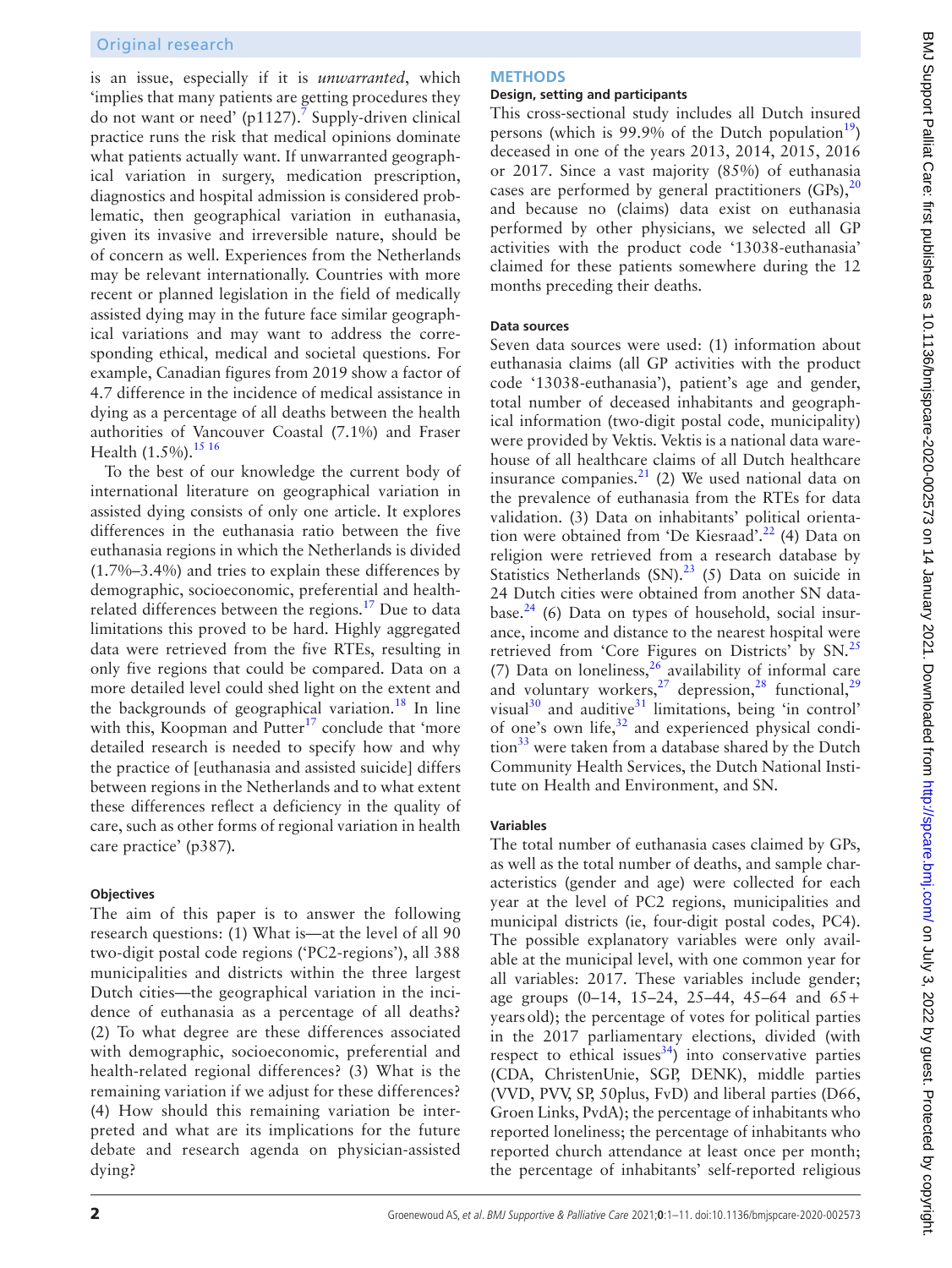is an issue, especially if it is *unwarranted*, which 'implies that many patients are getting procedures they do not want or need' (p1127).<sup>7</sup> Supply-driven clinical practice runs the risk that medical opinions dominate what patients actually want. If unwarranted geographical variation in surgery, medication prescription, diagnostics and hospital admission is considered problematic, then geographical variation in euthanasia, given its invasive and irreversible nature, should be of concern as well. Experiences from the Netherlands may be relevant internationally. Countries with more recent or planned legislation in the field of medically assisted dying may in the future face similar geographical variations and may want to address the corresponding ethical, medical and societal questions. For example, Canadian figures from 2019 show a factor of 4.7 difference in the incidence of medical assistance in dying as a percentage of all deaths between the health authorities of Vancouver Coastal (7.1%) and Fraser Health (1.5%).<sup>[15 16](#page-9-6)</sup>

To the best of our knowledge the current body of international literature on geographical variation in assisted dying consists of only one article. It explores differences in the euthanasia ratio between the five euthanasia regions in which the Netherlands is divided (1.7%–3.4%) and tries to explain these differences by demographic, socioeconomic, preferential and healthrelated differences between the regions.<sup>17</sup> Due to data limitations this proved to be hard. Highly aggregated data were retrieved from the five RTEs, resulting in only five regions that could be compared. Data on a more detailed level could shed light on the extent and the backgrounds of geographical variation.<sup>[18](#page-9-8)</sup> In line with this, Koopman and Putter $17$  conclude that 'more detailed research is needed to specify how and why the practice of [euthanasia and assisted suicide] differs between regions in the Netherlands and to what extent these differences reflect a deficiency in the quality of care, such as other forms of regional variation in health care practice' (p387)*.*

## **Objectives**

The aim of this paper is to answer the following research questions: (1) What is—at the level of all 90 two-digit postal code regions ('PC2-regions'), all 388 municipalities and districts within the three largest Dutch cities—the geographical variation in the incidence of euthanasia as a percentage of all deaths? (2) To what degree are these differences associated with demographic, socioeconomic, preferential and health-related regional differences? (3) What is the remaining variation if we adjust for these differences? (4) How should this remaining variation be interpreted and what are its implications for the future debate and research agenda on physician-assisted dying?

# **METHODS**

### **Design, setting and participants**

This cross-sectional study includes all Dutch insured persons (which is 99.9% of the Dutch population<sup>[19](#page-9-9)</sup>) deceased in one of the years 2013, 2014, 2015, 2016 or 2017. Since a vast majority (85%) of euthanasia cases are performed by general practitioners  $(GPs)$ ,  $20$ and because no (claims) data exist on euthanasia performed by other physicians, we selected all GP activities with the product code '13038-euthanasia' claimed for these patients somewhere during the 12 months preceding their deaths.

# **Data sources**

Seven data sources were used: (1) information about euthanasia claims (all GP activities with the product code '13038-euthanasia'), patient's age and gender, total number of deceased inhabitants and geographical information (two-digit postal code, municipality) were provided by Vektis. Vektis is a national data warehouse of all healthcare claims of all Dutch healthcare insurance companies. $^{21}$  (2) We used national data on the prevalence of euthanasia from the RTEs for data validation. (3) Data on inhabitants' political orientation were obtained from 'De Kiesraad'.<sup>22</sup> (4) Data on religion were retrieved from a research database by Statistics Netherlands  $(SN)$ .<sup>[23](#page-9-13)</sup> (5) Data on suicide in 24 Dutch cities were obtained from another SN database. $24$  (6) Data on types of household, social insurance, income and distance to the nearest hospital were retrieved from 'Core Figures on Districts' by SN.<sup>[25](#page-9-15)</sup> (7) Data on loneliness,  $26$  availability of informal care and voluntary workers,<sup>27</sup> depression,<sup>28</sup> functional,<sup>29</sup> visual $30$  and auditive $31$  limitations, being 'in control' of one's own life, $32$  and experienced physical condition $33$  were taken from a database shared by the Dutch Community Health Services, the Dutch National Institute on Health and Environment, and SN.

# **Variables**

The total number of euthanasia cases claimed by GPs, as well as the total number of deaths, and sample characteristics (gender and age) were collected for each year at the level of PC2 regions, municipalities and municipal districts (ie, four-digit postal codes, PC4). The possible explanatory variables were only available at the municipal level, with one common year for all variables: 2017. These variables include gender; age groups (0–14, 15–24, 25–44, 45–64 and 65+ yearsold); the percentage of votes for political parties in the 2017 parliamentary elections, divided (with respect to ethical issues<sup>[34](#page-9-24)</sup>) into conservative parties (CDA, ChristenUnie, SGP, DENK), middle parties (VVD, PVV, SP, 50plus, FvD) and liberal parties (D66, Groen Links, PvdA); the percentage of inhabitants who reported loneliness; the percentage of inhabitants who reported church attendance at least once per month; the percentage of inhabitants' self-reported religious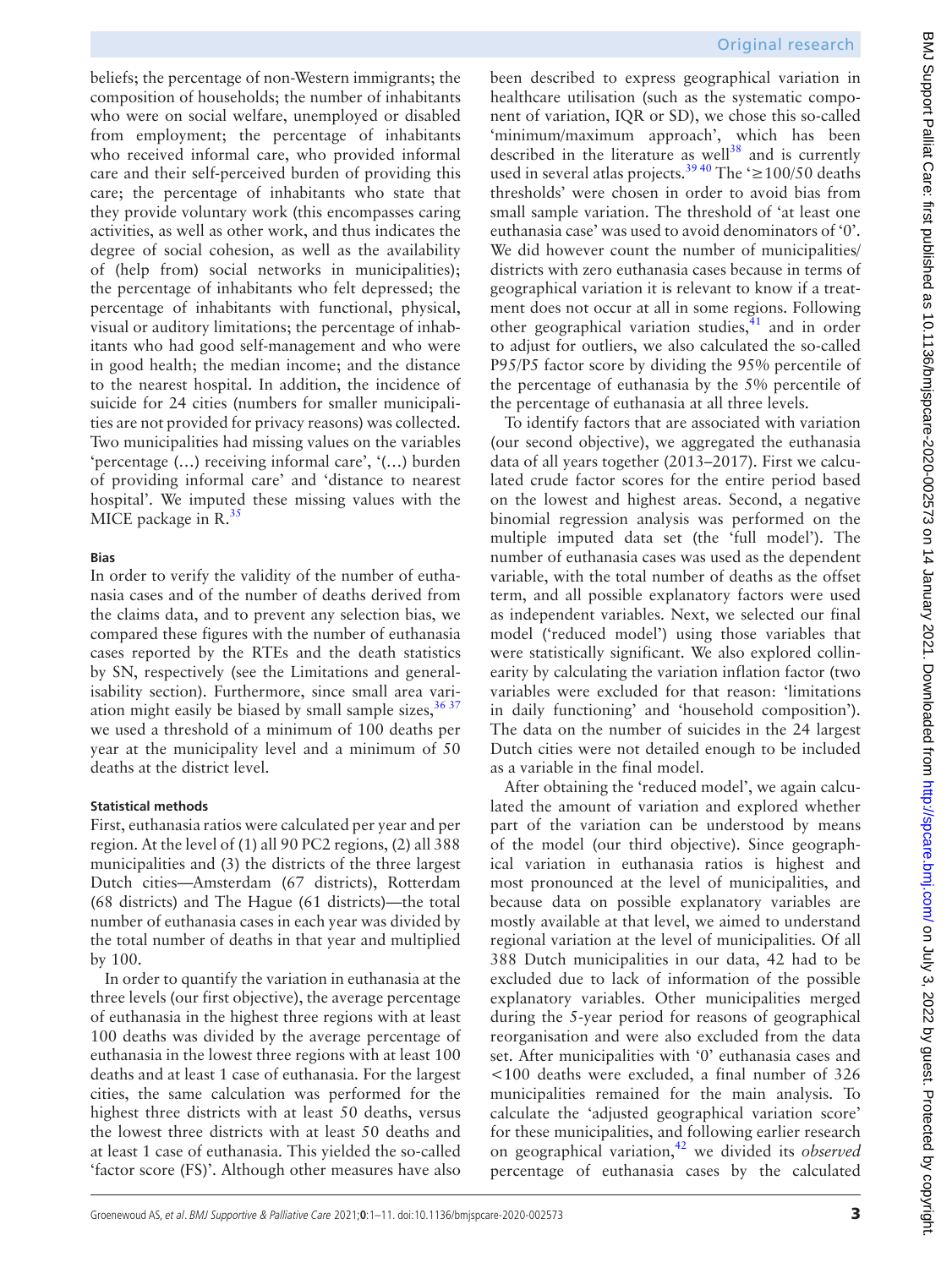beliefs; the percentage of non-Western immigrants; the composition of households; the number of inhabitants who were on social welfare, unemployed or disabled from employment; the percentage of inhabitants who received informal care, who provided informal care and their self-perceived burden of providing this care; the percentage of inhabitants who state that they provide voluntary work (this encompasses caring activities, as well as other work, and thus indicates the degree of social cohesion, as well as the availability of (help from) social networks in municipalities); the percentage of inhabitants who felt depressed; the percentage of inhabitants with functional, physical, visual or auditory limitations; the percentage of inhabitants who had good self-management and who were in good health; the median income; and the distance to the nearest hospital. In addition, the incidence of suicide for 24 cities (numbers for smaller municipalities are not provided for privacy reasons) was collected. Two municipalities had missing values on the variables 'percentage (…) receiving informal care', '(…) burden of providing informal care' and 'distance to nearest hospital'. We imputed these missing values with the MICE package in  $R<sup>35</sup>$  $R<sup>35</sup>$  $R<sup>35</sup>$ 

#### **Bias**

In order to verify the validity of the number of euthanasia cases and of the number of deaths derived from the claims data, and to prevent any selection bias, we compared these figures with the number of euthanasia cases reported by the RTEs and the death statistics by SN, respectively (see the Limitations and generalisability section). Furthermore, since small area variation might easily be biased by small sample sizes,  $3637$ we used a threshold of a minimum of 100 deaths per year at the municipality level and a minimum of 50 deaths at the district level.

#### **Statistical methods**

First, euthanasia ratios were calculated per year and per region. At the level of (1) all 90 PC2 regions, (2) all 388 municipalities and (3) the districts of the three largest Dutch cities—Amsterdam (67 districts), Rotterdam (68 districts) and The Hague (61 districts)—the total number of euthanasia cases in each year was divided by the total number of deaths in that year and multiplied by 100.

In order to quantify the variation in euthanasia at the three levels (our first objective), the average percentage of euthanasia in the highest three regions with at least 100 deaths was divided by the average percentage of euthanasia in the lowest three regions with at least 100 deaths and at least 1 case of euthanasia. For the largest cities, the same calculation was performed for the highest three districts with at least 50 deaths, versus the lowest three districts with at least 50 deaths and at least 1 case of euthanasia. This yielded the so-called 'factor score (FS)'. Although other measures have also

## Original research

been described to express geographical variation in healthcare utilisation (such as the systematic component of variation, IQR or SD), we chose this so-called 'minimum/maximum approach', which has been described in the literature as well $38$  and is currently used in several atlas projects.<sup>[39 40](#page-9-28)</sup> The  $\approx$  100/50 deaths thresholds' were chosen in order to avoid bias from small sample variation. The threshold of 'at least one euthanasia case' was used to avoid denominators of '0'. We did however count the number of municipalities/ districts with zero euthanasia cases because in terms of geographical variation it is relevant to know if a treatment does not occur at all in some regions. Following other geographical variation studies, $41$  and in order to adjust for outliers, we also calculated the so-called P95/P5 factor score by dividing the 95% percentile of the percentage of euthanasia by the 5% percentile of the percentage of euthanasia at all three levels.

To identify factors that are associated with variation (our second objective), we aggregated the euthanasia data of all years together (2013–2017). First we calculated crude factor scores for the entire period based on the lowest and highest areas. Second, a negative binomial regression analysis was performed on the multiple imputed data set (the 'full model'). The number of euthanasia cases was used as the dependent variable, with the total number of deaths as the offset term, and all possible explanatory factors were used as independent variables. Next, we selected our final model ('reduced model') using those variables that were statistically significant. We also explored collinearity by calculating the variation inflation factor (two variables were excluded for that reason: 'limitations in daily functioning' and 'household composition'). The data on the number of suicides in the 24 largest Dutch cities were not detailed enough to be included as a variable in the final model.

After obtaining the 'reduced model', we again calculated the amount of variation and explored whether part of the variation can be understood by means of the model (our third objective). Since geographical variation in euthanasia ratios is highest and most pronounced at the level of municipalities, and because data on possible explanatory variables are mostly available at that level, we aimed to understand regional variation at the level of municipalities. Of all 388 Dutch municipalities in our data, 42 had to be excluded due to lack of information of the possible explanatory variables. Other municipalities merged during the 5-year period for reasons of geographical reorganisation and were also excluded from the data set. After municipalities with '0' euthanasia cases and <100 deaths were excluded, a final number of 326 municipalities remained for the main analysis. To calculate the 'adjusted geographical variation score' for these municipalities, and following earlier research on geographical variation[,42](#page-9-30) we divided its *observed* percentage of euthanasia cases by the calculated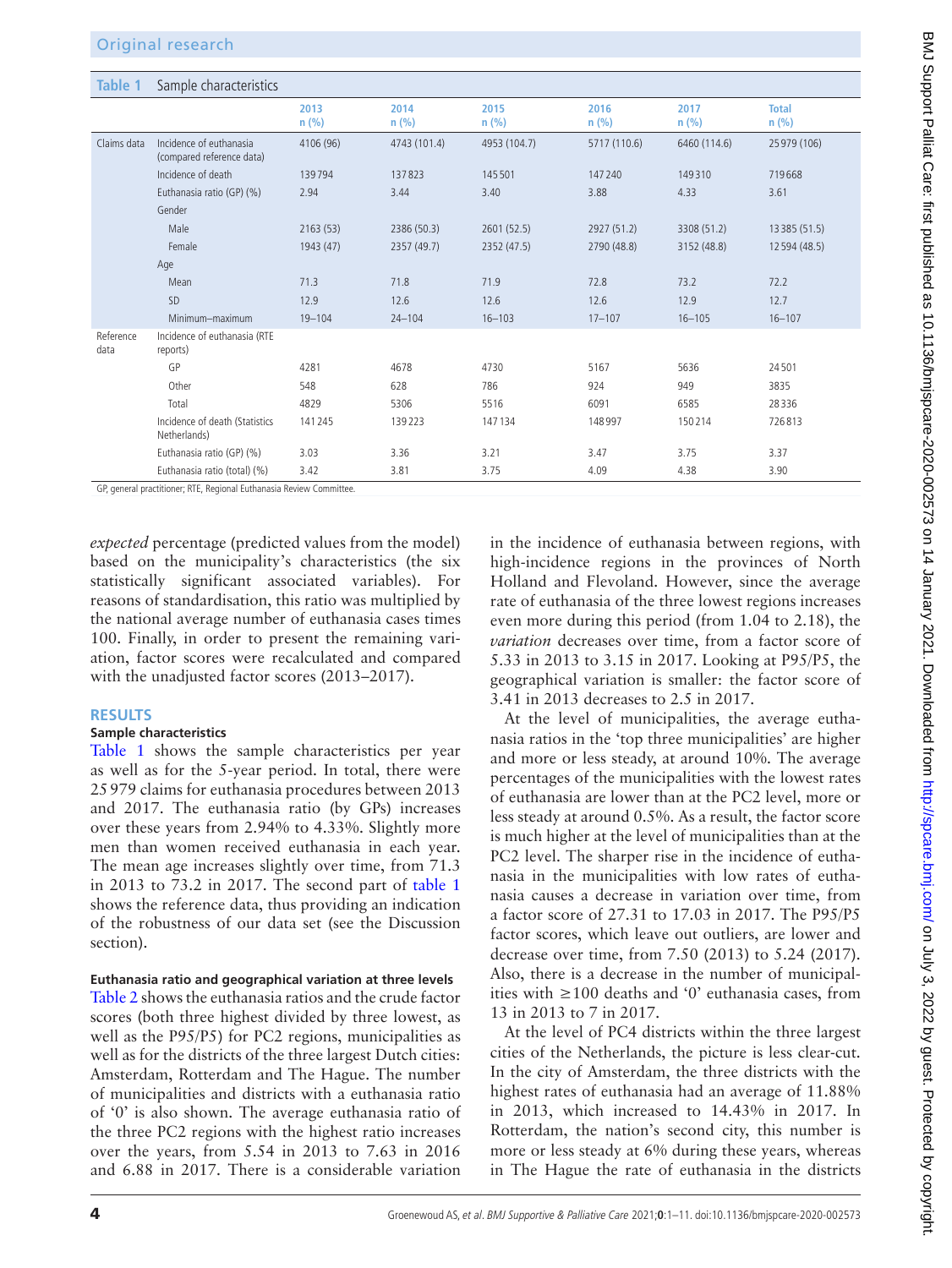<span id="page-3-0"></span>

| Table 1           | Sample characteristics                               |                 |                 |                 |                 |                 |                         |
|-------------------|------------------------------------------------------|-----------------|-----------------|-----------------|-----------------|-----------------|-------------------------|
|                   |                                                      | 2013<br>$n$ (%) | 2014<br>$n$ (%) | 2015<br>$n$ (%) | 2016<br>$n$ (%) | 2017<br>$n$ (%) | <b>Total</b><br>$n$ (%) |
| Claims data       | Incidence of euthanasia<br>(compared reference data) | 4106 (96)       | 4743 (101.4)    | 4953 (104.7)    | 5717 (110.6)    | 6460 (114.6)    | 25 979 (106)            |
|                   | Incidence of death                                   | 139794          | 137823          | 145501          | 147240          | 149310          | 719668                  |
|                   | Euthanasia ratio (GP) (%)                            | 2.94            | 3.44            | 3.40            | 3.88            | 4.33            | 3.61                    |
|                   | Gender                                               |                 |                 |                 |                 |                 |                         |
|                   | Male                                                 | 2163(53)        | 2386 (50.3)     | 2601 (52.5)     | 2927 (51.2)     | 3308 (51.2)     | 13 3 8 5 (51.5)         |
|                   | Female                                               | 1943 (47)       | 2357 (49.7)     | 2352 (47.5)     | 2790 (48.8)     | 3152 (48.8)     | 12 594 (48.5)           |
|                   | Age                                                  |                 |                 |                 |                 |                 |                         |
|                   | Mean                                                 | 71.3            | 71.8            | 71.9            | 72.8            | 73.2            | 72.2                    |
|                   | SD                                                   | 12.9            | 12.6            | 12.6            | 12.6            | 12.9            | 12.7                    |
|                   | Minimum-maximum                                      | $19 - 104$      | $24 - 104$      | $16 - 103$      | $17 - 107$      | $16 - 105$      | $16 - 107$              |
| Reference<br>data | Incidence of euthanasia (RTE<br>reports)             |                 |                 |                 |                 |                 |                         |
|                   | GP                                                   | 4281            | 4678            | 4730            | 5167            | 5636            | 24501                   |
|                   | Other                                                | 548             | 628             | 786             | 924             | 949             | 3835                    |
|                   | Total                                                | 4829            | 5306            | 5516            | 6091            | 6585            | 28336                   |
|                   | Incidence of death (Statistics<br>Netherlands)       | 141245          | 139223          | 147134          | 148997          | 150214          | 726813                  |
|                   | Euthanasia ratio (GP) (%)                            | 3.03            | 3.36            | 3.21            | 3.47            | 3.75            | 3.37                    |
|                   | Euthanasia ratio (total) (%)                         | 3.42            | 3.81            | 3.75            | 4.09            | 4.38            | 3.90                    |

GP, general practitioner; RTE, Regional Euthanasia Review Committee.

*expected* percentage (predicted values from the model) based on the municipality's characteristics (the six statistically significant associated variables). For reasons of standardisation, this ratio was multiplied by the national average number of euthanasia cases times 100. Finally, in order to present the remaining variation, factor scores were recalculated and compared with the unadjusted factor scores (2013–2017).

#### **RESULTS**

#### **Sample characteristics**

[Table](#page-3-0) 1 shows the sample characteristics per year as well as for the 5-year period. In total, there were 25979 claims for euthanasia procedures between 2013 and 2017. The euthanasia ratio (by GPs) increases over these years from 2.94% to 4.33%. Slightly more men than women received euthanasia in each year. The mean age increases slightly over time, from 71.3 in 2013 to 73.2 in 2017. The second part of [table](#page-3-0) 1 shows the reference data, thus providing an indication of the robustness of our data set (see the Discussion section).

#### **Euthanasia ratio and geographical variation at three levels**

[Table](#page-4-0) 2 shows the euthanasia ratios and the crude factor scores (both three highest divided by three lowest, as well as the P95/P5) for PC2 regions, municipalities as well as for the districts of the three largest Dutch cities: Amsterdam, Rotterdam and The Hague. The number of municipalities and districts with a euthanasia ratio of '0' is also shown. The average euthanasia ratio of the three PC2 regions with the highest ratio increases over the years, from 5.54 in 2013 to 7.63 in 2016 and 6.88 in 2017. There is a considerable variation

in the incidence of euthanasia between regions, with high-incidence regions in the provinces of North Holland and Flevoland. However, since the average rate of euthanasia of the three lowest regions increases even more during this period (from 1.04 to 2.18), the *variation* decreases over time, from a factor score of 5.33 in 2013 to 3.15 in 2017. Looking at P95/P5, the geographical variation is smaller: the factor score of 3.41 in 2013 decreases to 2.5 in 2017.

At the level of municipalities, the average euthanasia ratios in the 'top three municipalities' are higher and more or less steady, at around 10%. The average percentages of the municipalities with the lowest rates of euthanasia are lower than at the PC2 level, more or less steady at around 0.5%. As a result, the factor score is much higher at the level of municipalities than at the PC2 level. The sharper rise in the incidence of euthanasia in the municipalities with low rates of euthanasia causes a decrease in variation over time, from a factor score of 27.31 to 17.03 in 2017. The P95/P5 factor scores, which leave out outliers, are lower and decrease over time, from 7.50 (2013) to 5.24 (2017). Also, there is a decrease in the number of municipalities with  $\geq 100$  deaths and '0' euthanasia cases, from 13 in 2013 to 7 in 2017.

At the level of PC4 districts within the three largest cities of the Netherlands, the picture is less clear-cut. In the city of Amsterdam, the three districts with the highest rates of euthanasia had an average of 11.88% in 2013, which increased to 14.43% in 2017. In Rotterdam, the nation's second city, this number is more or less steady at 6% during these years, whereas in The Hague the rate of euthanasia in the districts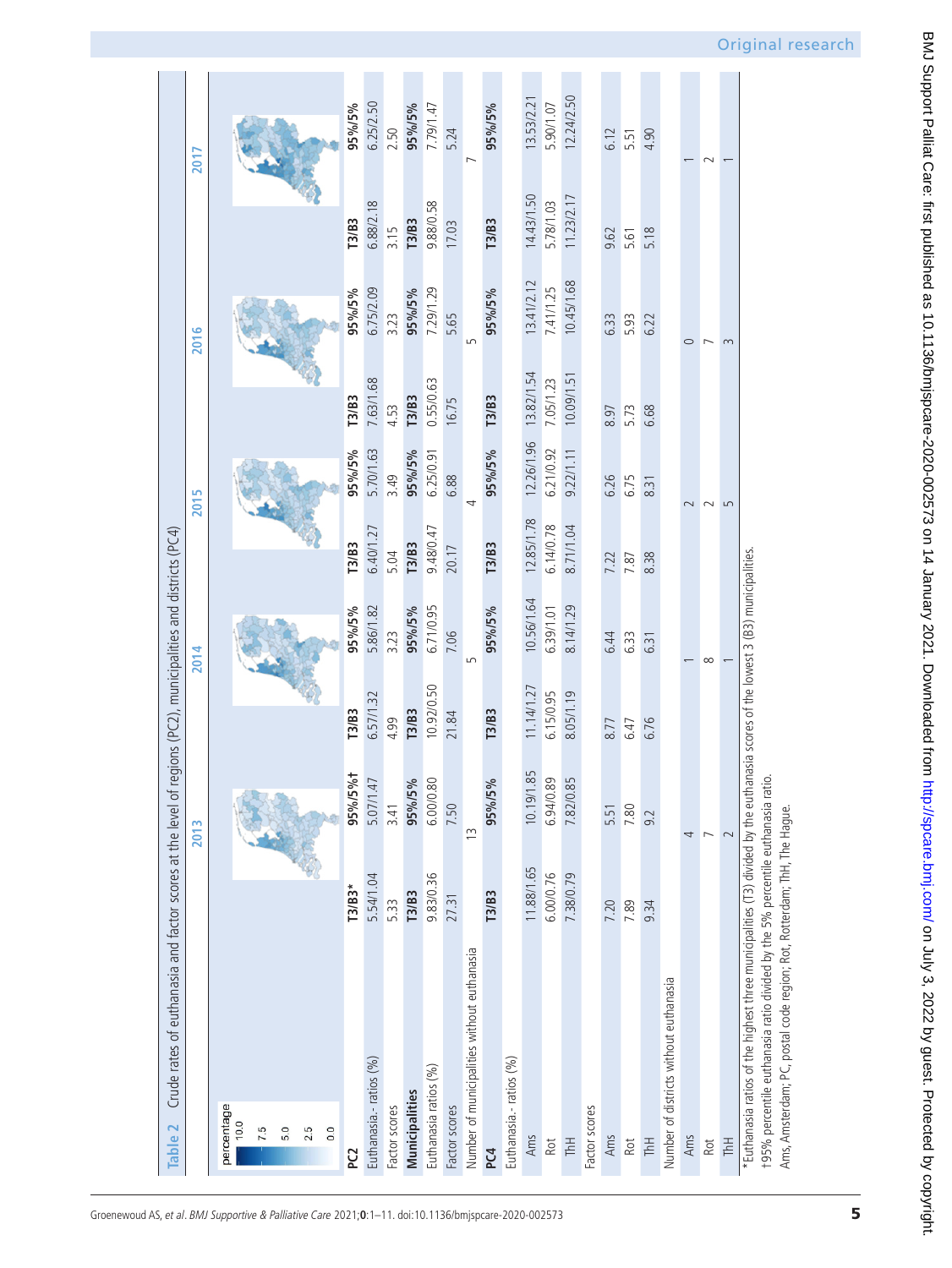<span id="page-4-0"></span>

|                                             |              | 2013                     |              | 2014       |              | 2015           |              | 2016                     |              | 2017       |
|---------------------------------------------|--------------|--------------------------|--------------|------------|--------------|----------------|--------------|--------------------------|--------------|------------|
| percentage                                  |              |                          |              |            |              |                |              |                          |              |            |
| 10.0                                        |              |                          |              |            |              |                |              |                          |              |            |
| 7.5                                         |              |                          |              |            |              |                |              |                          |              |            |
| 5.0                                         |              |                          |              |            |              |                |              |                          |              |            |
| 2.5                                         |              |                          |              |            |              |                |              |                          |              |            |
| 0.0                                         |              |                          |              |            |              |                |              |                          |              |            |
| P <sub>C</sub>                              | $T3/B3*$     | 95%/5%t                  | T3/B3        | 95%/5%     | T3/B3        | 95%/5%         | T3/B3        | 95%/5%                   | T3/B3        | 95%/5%     |
| Euthanasia.- ratios (%)                     | 5.54/1.04    | 5.07/1.47                | 6.57/1.32    | 5.86/1.82  | 6.40/1.27    | 5.70/1.63      | 7.63/1.68    | 6.75/2.09                | 6.88/2.18    | 6.25/2.50  |
| Factor scores                               | 5.33         | 3.41                     | 4.99         | 3.23       | 5.04         | 3.49           | 4.53         | 3.23                     | 3.15         | 2.50       |
| <b>Municipalities</b>                       | <b>T3/B3</b> | 95%/5%                   | <b>T3/B3</b> | 95%/5%     | <b>T3/B3</b> | 95%/5%         | <b>T3/B3</b> | 95%/5%                   | <b>T3/B3</b> | 95%/5%     |
| Euthanasia ratios (%)                       | 9.83/0.36    | 6.00/0.80                | 10.92/0.50   | 6.71/0.95  | 9.48/0.47    | 6.25/0.91      | 0.55/0.63    | 7.29/1.29                | 9.88/0.58    | 7.79/1.47  |
| Factor scores                               | 27.31        | 7.50                     | 21.84        | 7.06       | 20.17        | 6.88           | 16.75        | 5.65                     | 17.03        | 5.24       |
| Number of municipalities without euthanasia |              | $\widetilde{\Xi}$        |              | 5          |              | 4              |              |                          |              |            |
| PC4                                         | <b>T3/B3</b> | 95%/5%                   | <b>T3/B3</b> | 95%/5%     | T3/B3        | 95%/5%         | <b>T3/B3</b> | 95%/5%                   | T3/B3        | 95%/5%     |
| Euthanasia.- ratios (%)                     |              |                          |              |            |              |                |              |                          |              |            |
| Ams                                         | 11.88/1.65   | 10.19/1.85               | 11.14/1.27   | 10.56/1.64 | 12.85/1.78   | 12.26/1.96     | 13.82/1.54   | 13.41/2.12               | 14.43/1.50   | 13.53/2.21 |
| Rot                                         | 6.00/0.76    | 6.94/0.89<br>7.82/0.85   | 6.15/0.95    | 6.39/1.01  | 6.14/0.78    | 6.21/0.92      | 7.05/1.23    | 7.41/1.25                | 5.78/1.03    | 5.90/1.07  |
| <b>Hyll</b>                                 | 7.38/0.79    |                          | 8.05/1.19    | 8.14/1.29  | 8.71/1.04    | 9.22/1.11      | 10.09/1.51   | 10.45/1.68               | 11.23/2.17   | 12.24/2.50 |
| Factor scores                               |              |                          |              |            |              |                |              |                          |              |            |
| Ams                                         | 7.20         | 5.51                     | 8.77         | 6.44       | 7.22         | 6.26           | 8.97         | 6.33                     | 9.62         | 6.12       |
| Rot                                         | 7.89         | 7.80                     | 6.47         | 6.33       | 7.87         | 6.75           | 5.73         | 5.93                     | 5.61         | 5.51       |
| <b>ThH</b>                                  | 9.34         | 9.2                      | 6.76         | 6.31       | 8.38         | 8.31           | 6.68         | 6.22                     | 5.18         | 4.90       |
| Number of districts without euthanasia      |              |                          |              |            |              |                |              |                          |              |            |
| Ams                                         |              | 4                        |              |            |              | $\sim$         |              | $\circ$                  |              |            |
| Rot                                         |              | $\overline{\phantom{0}}$ |              | $\infty$   |              | $\sim$         |              | $\overline{\phantom{0}}$ |              | $\sim$     |
| <b>H</b> HT                                 |              | $\sim$                   |              |            |              | $\overline{5}$ |              | 3                        |              |            |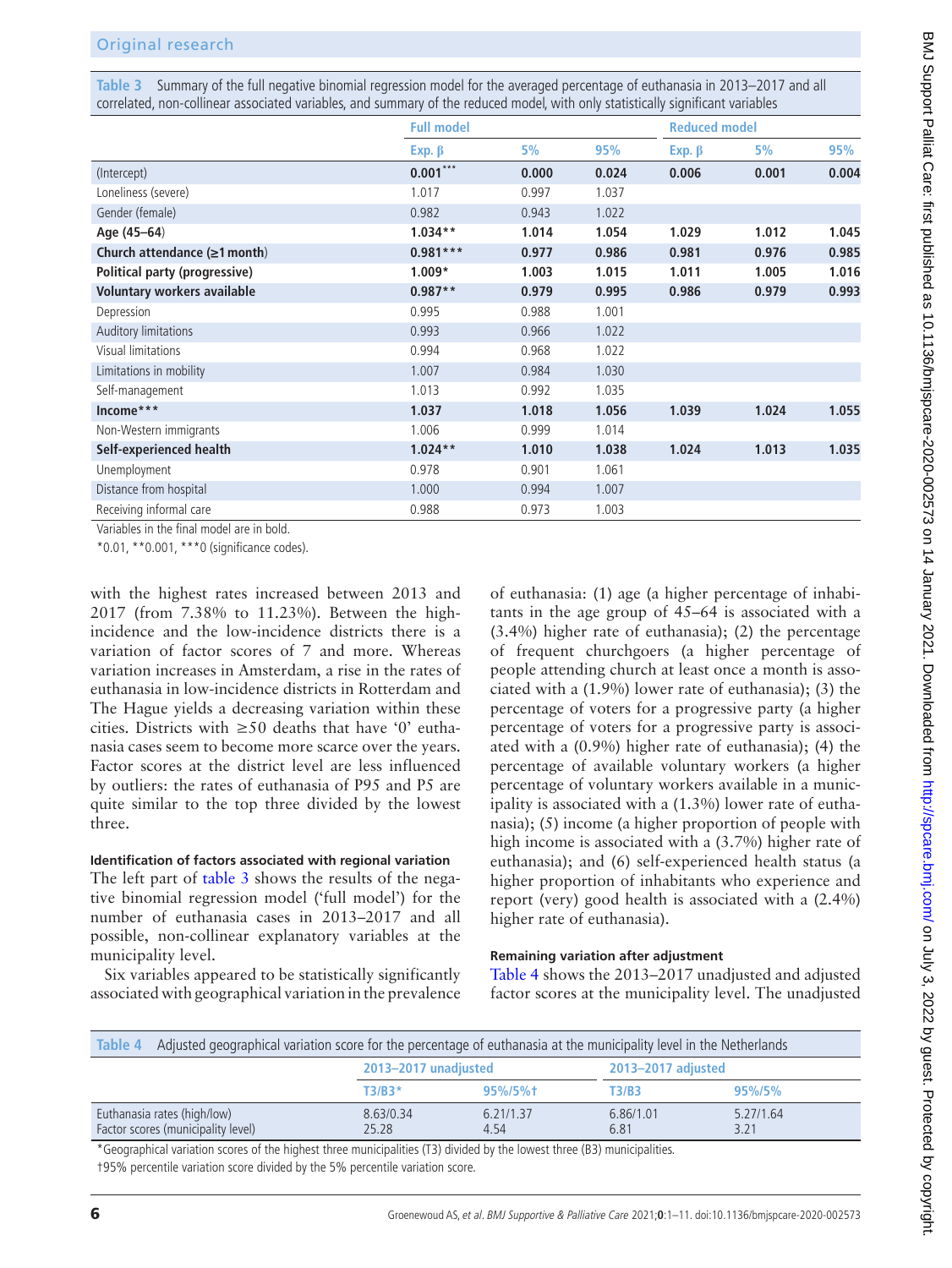<span id="page-5-0"></span>**Table 3** Summary of the full negative binomial regression model for the averaged percentage of euthanasia in 2013–2017 and all correlated, non-collinear associated variables, and summary of the reduced model, with only statistically significant variables

|                                    | <b>Full model</b> |       |       | <b>Reduced model</b> |       |       |
|------------------------------------|-------------------|-------|-------|----------------------|-------|-------|
|                                    | Exp. $\beta$      | 5%    | 95%   | $Exp. \beta$         | 5%    | 95%   |
| (Intercept)                        | $0.001***$        | 0.000 | 0.024 | 0.006                | 0.001 | 0.004 |
| Loneliness (severe)                | 1.017             | 0.997 | 1.037 |                      |       |       |
| Gender (female)                    | 0.982             | 0.943 | 1.022 |                      |       |       |
| Age (45-64)                        | $1.034**$         | 1.014 | 1.054 | 1.029                | 1.012 | 1.045 |
| Church attendance $(\geq 1$ month) | $0.981***$        | 0.977 | 0.986 | 0.981                | 0.976 | 0.985 |
| Political party (progressive)      | $1.009*$          | 1.003 | 1.015 | 1.011                | 1.005 | 1.016 |
| Voluntary workers available        | $0.987**$         | 0.979 | 0.995 | 0.986                | 0.979 | 0.993 |
| Depression                         | 0.995             | 0.988 | 1.001 |                      |       |       |
| Auditory limitations               | 0.993             | 0.966 | 1.022 |                      |       |       |
| Visual limitations                 | 0.994             | 0.968 | 1.022 |                      |       |       |
| Limitations in mobility            | 1.007             | 0.984 | 1.030 |                      |       |       |
| Self-management                    | 1.013             | 0.992 | 1.035 |                      |       |       |
| Income***                          | 1.037             | 1.018 | 1.056 | 1.039                | 1.024 | 1.055 |
| Non-Western immigrants             | 1.006             | 0.999 | 1.014 |                      |       |       |
| Self-experienced health            | $1.024**$         | 1.010 | 1.038 | 1.024                | 1.013 | 1.035 |
| Unemployment                       | 0.978             | 0.901 | 1.061 |                      |       |       |
| Distance from hospital             | 1.000             | 0.994 | 1.007 |                      |       |       |
| Receiving informal care            | 0.988             | 0.973 | 1.003 |                      |       |       |

Variables in the final model are in bold.

\*0.01, \*\*0.001, \*\*\*0 (significance codes).

with the highest rates increased between 2013 and 2017 (from 7.38% to 11.23%). Between the highincidence and the low-incidence districts there is a variation of factor scores of 7 and more. Whereas variation increases in Amsterdam, a rise in the rates of euthanasia in low-incidence districts in Rotterdam and The Hague yields a decreasing variation within these cities. Districts with  $\geq 50$  deaths that have '0' euthanasia cases seem to become more scarce over the years. Factor scores at the district level are less influenced by outliers: the rates of euthanasia of P95 and P5 are quite similar to the top three divided by the lowest three.

## **Identification of factors associated with regional variation**

The left part of [table](#page-5-0) 3 shows the results of the negative binomial regression model ('full model') for the number of euthanasia cases in 2013–2017 and all possible, non-collinear explanatory variables at the municipality level.

Six variables appeared to be statistically significantly associated with geographical variation in the prevalence

of euthanasia: (1) age (a higher percentage of inhabitants in the age group of 45–64 is associated with a (3.4%) higher rate of euthanasia); (2) the percentage of frequent churchgoers (a higher percentage of people attending church at least once a month is associated with a (1.9%) lower rate of euthanasia); (3) the percentage of voters for a progressive party (a higher percentage of voters for a progressive party is associated with a (0.9%) higher rate of euthanasia); (4) the percentage of available voluntary workers (a higher percentage of voluntary workers available in a municipality is associated with a (1.3%) lower rate of euthanasia); (5) income (a higher proportion of people with high income is associated with a (3.7%) higher rate of euthanasia); and (6) self-experienced health status (a higher proportion of inhabitants who experience and report (very) good health is associated with a (2.4%) higher rate of euthanasia).

## **Remaining variation after adjustment**

[Table](#page-5-1) 4 shows the 2013–2017 unadjusted and adjusted factor scores at the municipality level. The unadjusted

<span id="page-5-1"></span>

| Table 4                                                           | Adjusted geographical variation score for the percentage of euthanasia at the municipality level in the Netherlands |                   |                    |                   |  |  |  |  |
|-------------------------------------------------------------------|---------------------------------------------------------------------------------------------------------------------|-------------------|--------------------|-------------------|--|--|--|--|
|                                                                   | 2013-2017 unadjusted                                                                                                |                   | 2013-2017 adjusted |                   |  |  |  |  |
|                                                                   | $T3/B3*$                                                                                                            | $95\%/5\%$        | T3/B3              | $95\%/5\%$        |  |  |  |  |
| Euthanasia rates (high/low)<br>Factor scores (municipality level) | 8.63/0.34<br>25.28                                                                                                  | 6.21/1.37<br>4.54 | 6.86/1.01<br>6.81  | 5.27/1.64<br>3.21 |  |  |  |  |

\*Geographical variation scores of the highest three municipalities (T3) divided by the lowest three (B3) municipalities. †95% percentile variation score divided by the 5% percentile variation score.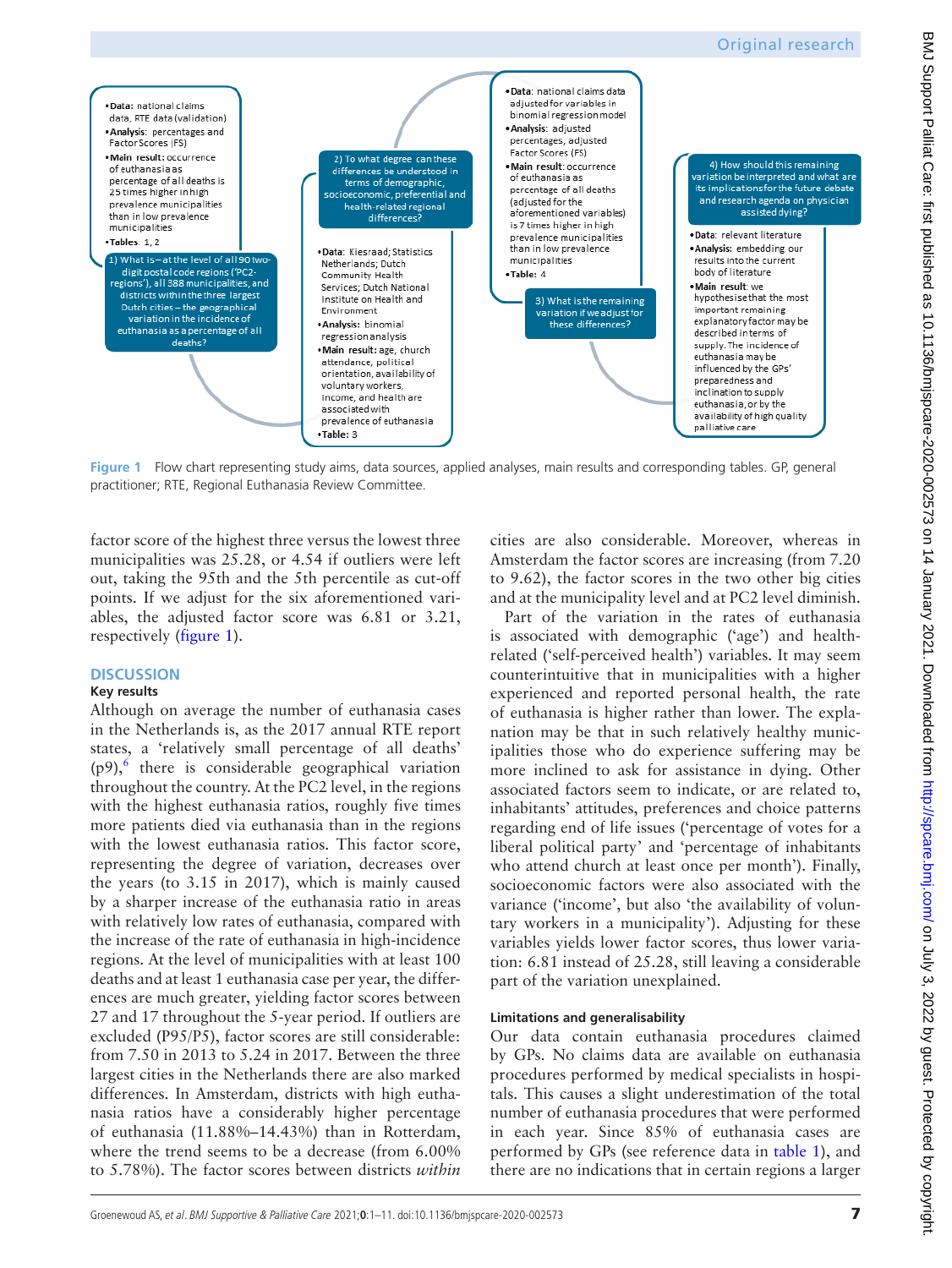

<span id="page-6-0"></span>**Figure 1** Flow chart representing study aims, data sources, applied analyses, main results and corresponding tables. GP, general practitioner; RTE, Regional Euthanasia Review Committee.

factor score of the highest three versus the lowest three municipalities was 25.28, or 4.54 if outliers were left out, taking the 95th and the 5th percentile as cut-off points. If we adjust for the six aforementioned variables, the adjusted factor score was 6.81 or 3.21, respectively ([figure](#page-6-0) 1).

## **DISCUSSION**

#### **Key results**

Although on average the number of euthanasia cases in the Netherlands is, as the 2017 annual RTE report states, a 'relatively small percentage of all deaths'  $(p9)$ , there is considerable geographical variation throughout the country. At the PC2 level, in the regions with the highest euthanasia ratios, roughly five times more patients died via euthanasia than in the regions with the lowest euthanasia ratios. This factor score, representing the degree of variation, decreases over the years (to 3.15 in 2017), which is mainly caused by a sharper increase of the euthanasia ratio in areas with relatively low rates of euthanasia, compared with the increase of the rate of euthanasia in high-incidence regions. At the level of municipalities with at least 100 deaths and at least 1 euthanasia case per year, the differences are much greater, yielding factor scores between 27 and 17 throughout the 5-year period. If outliers are excluded (P95/P5), factor scores are still considerable: from 7.50 in 2013 to 5.24 in 2017. Between the three largest cities in the Netherlands there are also marked differences. In Amsterdam, districts with high euthanasia ratios have a considerably higher percentage of euthanasia (11.88%–14.43%) than in Rotterdam, where the trend seems to be a decrease (from 6.00% to 5.78%). The factor scores between districts *within*

cities are also considerable. Moreover, whereas in Amsterdam the factor scores are increasing (from 7.20 to 9.62), the factor scores in the two other big cities and at the municipality level and at PC2 level diminish.

Part of the variation in the rates of euthanasia is associated with demographic ('age') and healthrelated ('self-perceived health') variables. It may seem counterintuitive that in municipalities with a higher experienced and reported personal health, the rate of euthanasia is higher rather than lower. The explanation may be that in such relatively healthy municipalities those who do experience suffering may be more inclined to ask for assistance in dying. Other associated factors seem to indicate, or are related to, inhabitants' attitudes, preferences and choice patterns regarding end of life issues ('percentage of votes for a liberal political party' and 'percentage of inhabitants who attend church at least once per month'). Finally, socioeconomic factors were also associated with the variance ('income', but also 'the availability of voluntary workers in a municipality'). Adjusting for these variables yields lower factor scores, thus lower variation: 6.81 instead of 25.28, still leaving a considerable part of the variation unexplained.

#### **Limitations and generalisability**

Our data contain euthanasia procedures claimed by GPs. No claims data are available on euthanasia procedures performed by medical specialists in hospitals. This causes a slight underestimation of the total number of euthanasia procedures that were performed in each year. Since 85% of euthanasia cases are performed by GPs (see reference data in [table](#page-3-0) 1), and there are no indications that in certain regions a larger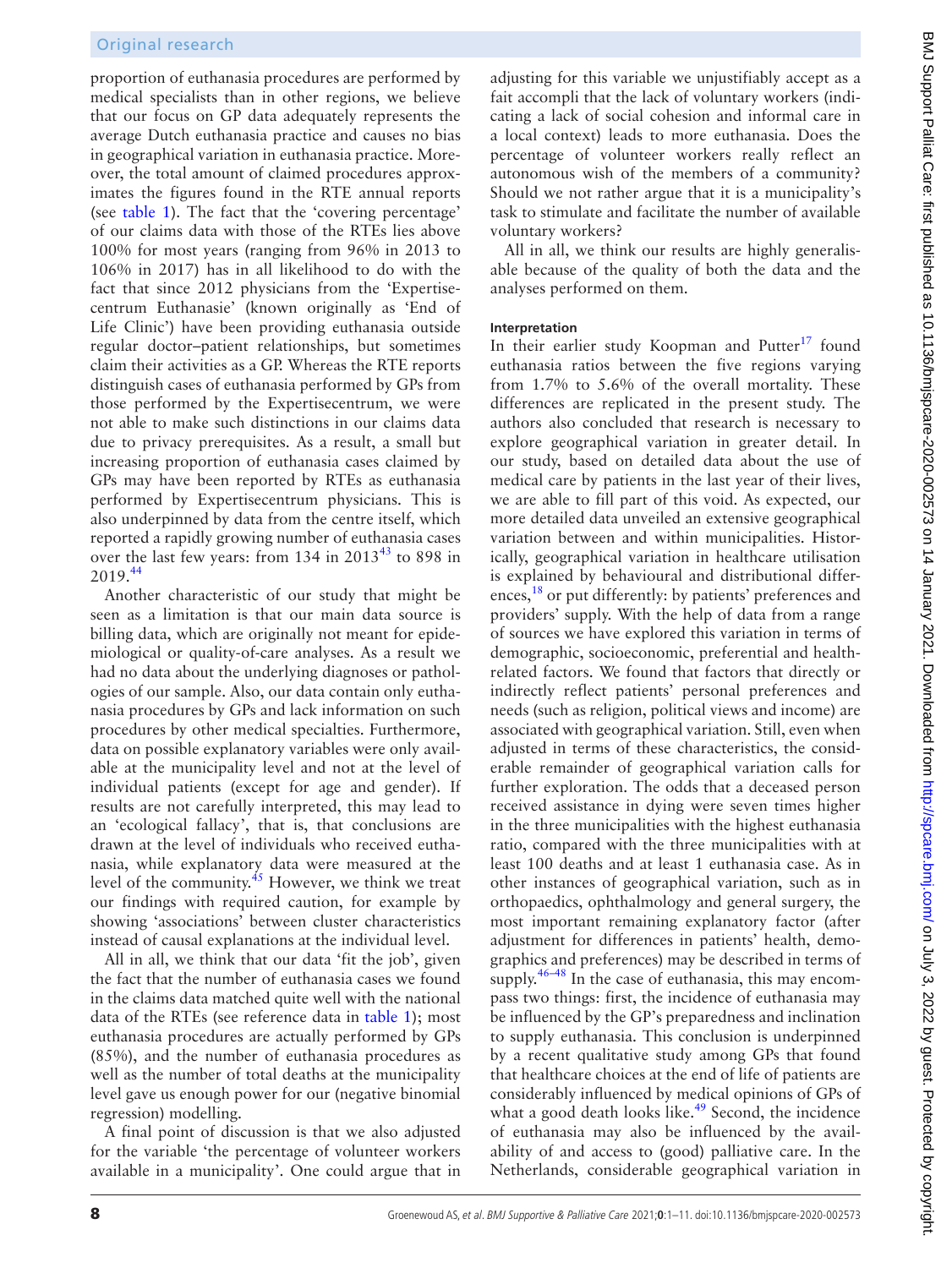proportion of euthanasia procedures are performed by medical specialists than in other regions, we believe that our focus on GP data adequately represents the average Dutch euthanasia practice and causes no bias in geographical variation in euthanasia practice. Moreover, the total amount of claimed procedures approximates the figures found in the RTE annual reports (see [table](#page-3-0) 1). The fact that the 'covering percentage' of our claims data with those of the RTEs lies above 100% for most years (ranging from 96% in 2013 to 106% in 2017) has in all likelihood to do with the fact that since 2012 physicians from the 'Expertisecentrum Euthanasie' (known originally as 'End of Life Clinic') have been providing euthanasia outside regular doctor–patient relationships, but sometimes claim their activities as a GP. Whereas the RTE reports distinguish cases of euthanasia performed by GPs from those performed by the Expertisecentrum, we were not able to make such distinctions in our claims data due to privacy prerequisites. As a result, a small but increasing proportion of euthanasia cases claimed by GPs may have been reported by RTEs as euthanasia performed by Expertisecentrum physicians. This is also underpinned by data from the centre itself, which reported a rapidly growing number of euthanasia cases over the last few years: from 134 in 2013<sup>[43](#page-9-31)</sup> to 898 in 2019.[44](#page-9-32)

Another characteristic of our study that might be seen as a limitation is that our main data source is billing data, which are originally not meant for epidemiological or quality-of-care analyses. As a result we had no data about the underlying diagnoses or pathologies of our sample. Also, our data contain only euthanasia procedures by GPs and lack information on such procedures by other medical specialties. Furthermore, data on possible explanatory variables were only available at the municipality level and not at the level of individual patients (except for age and gender). If results are not carefully interpreted, this may lead to an 'ecological fallacy', that is, that conclusions are drawn at the level of individuals who received euthanasia, while explanatory data were measured at the level of the community. $45$  However, we think we treat our findings with required caution, for example by showing 'associations' between cluster characteristics instead of causal explanations at the individual level.

All in all, we think that our data 'fit the job', given the fact that the number of euthanasia cases we found in the claims data matched quite well with the national data of the RTEs (see reference data in [table](#page-3-0) 1); most euthanasia procedures are actually performed by GPs (85%), and the number of euthanasia procedures as well as the number of total deaths at the municipality level gave us enough power for our (negative binomial regression) modelling.

A final point of discussion is that we also adjusted for the variable 'the percentage of volunteer workers available in a municipality'. One could argue that in

adjusting for this variable we unjustifiably accept as a fait accompli that the lack of voluntary workers (indicating a lack of social cohesion and informal care in a local context) leads to more euthanasia. Does the percentage of volunteer workers really reflect an autonomous wish of the members of a community? Should we not rather argue that it is a municipality's task to stimulate and facilitate the number of available voluntary workers? All in all, we think our results are highly generalisable because of the quality of both the data and the analyses performed on them. **Interpretation** In their earlier study Koopman and Putter<sup>[17](#page-9-7)</sup> found euthanasia ratios between the five regions varying

from 1.7% to 5.6% of the overall mortality. These differences are replicated in the present study. The authors also concluded that research is necessary to explore geographical variation in greater detail. In our study, based on detailed data about the use of medical care by patients in the last year of their lives, we are able to fill part of this void. As expected, our more detailed data unveiled an extensive geographical variation between and within municipalities. Historically, geographical variation in healthcare utilisation is explained by behavioural and distributional differences,<sup>18</sup> or put differently: by patients' preferences and providers' supply. With the help of data from a range of sources we have explored this variation in terms of demographic, socioeconomic, preferential and healthrelated factors. We found that factors that directly or indirectly reflect patients' personal preferences and needs (such as religion, political views and income) are associated with geographical variation. Still, even when adjusted in terms of these characteristics, the considerable remainder of geographical variation calls for further exploration. The odds that a deceased person received assistance in dying were seven times higher in the three municipalities with the highest euthanasia ratio, compared with the three municipalities with at least 100 deaths and at least 1 euthanasia case. As in other instances of geographical variation, such as in orthopaedics, ophthalmology and general surgery, the most important remaining explanatory factor (after adjustment for differences in patients' health, demographics and preferences) may be described in terms of supply.<sup>46–48</sup> In the case of euthanasia, this may encompass two things: first, the incidence of euthanasia may be influenced by the GP's preparedness and inclination to supply euthanasia. This conclusion is underpinned by a recent qualitative study among GPs that found that healthcare choices at the end of life of patients are considerably influenced by medical opinions of GPs of what a good death looks like. $49$  Second, the incidence of euthanasia may also be influenced by the availability of and access to (good) palliative care. In the Netherlands, considerable geographical variation in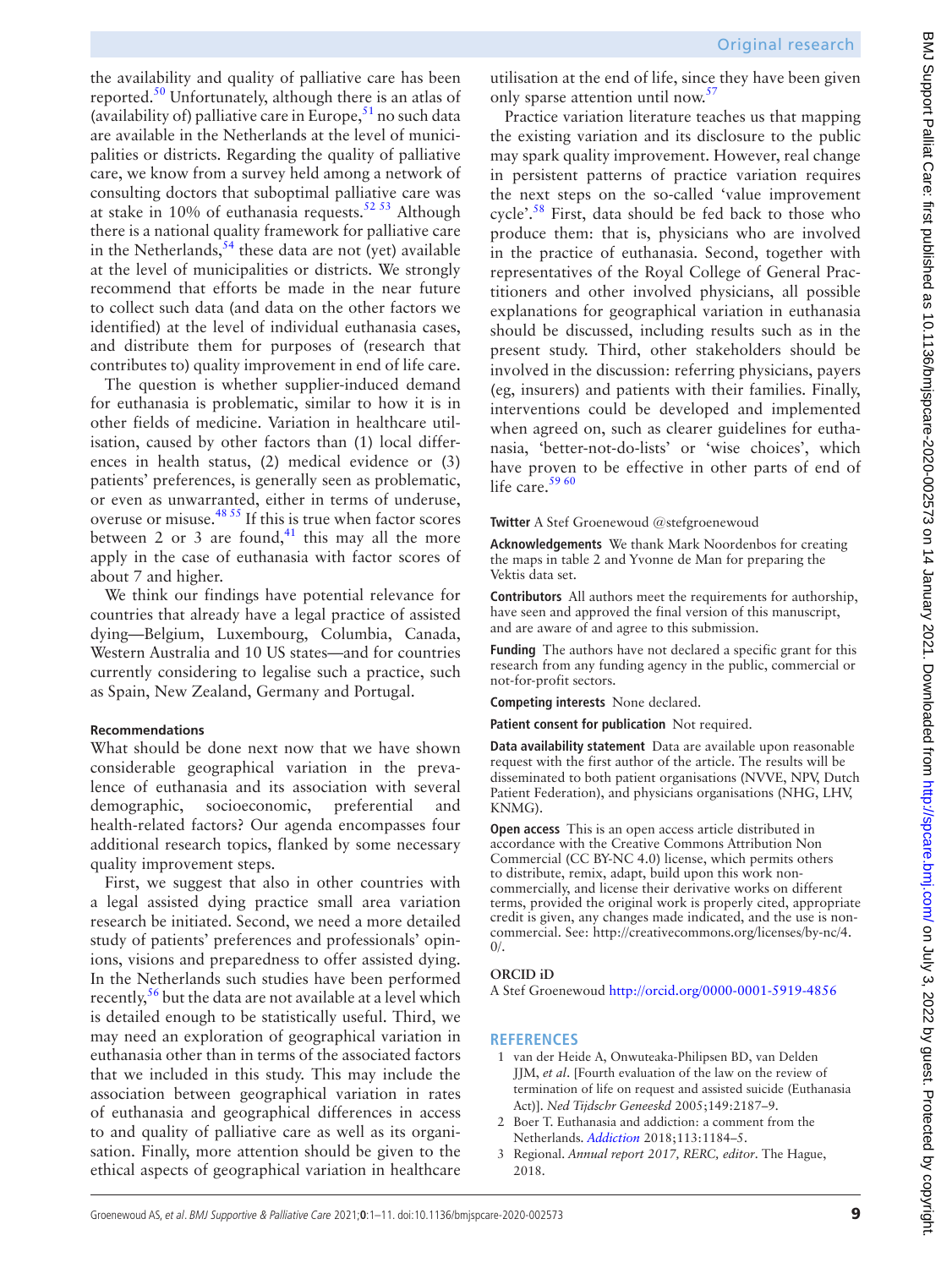the availability and quality of palliative care has been reported.<sup>50</sup> Unfortunately, although there is an atlas of (availability of) palliative care in Europe,  $51$  no such data are available in the Netherlands at the level of municipalities or districts. Regarding the quality of palliative care, we know from a survey held among a network of consulting doctors that suboptimal palliative care was at stake in 10% of euthanasia requests. $5253$  Although there is a national quality framework for palliative care in the Netherlands,  $54$  these data are not (yet) available at the level of municipalities or districts. We strongly recommend that efforts be made in the near future to collect such data (and data on the other factors we identified) at the level of individual euthanasia cases, and distribute them for purposes of (research that contributes to) quality improvement in end of life care.

The question is whether supplier-induced demand for euthanasia is problematic, similar to how it is in other fields of medicine. Variation in healthcare utilisation, caused by other factors than (1) local differences in health status, (2) medical evidence or (3) patients' preferences, is generally seen as problematic, or even as unwarranted, either in terms of underuse, overuse or misuse.[48 55](#page-10-6) If this is true when factor scores between 2 or 3 are found, $41$  this may all the more apply in the case of euthanasia with factor scores of about 7 and higher.

We think our findings have potential relevance for countries that already have a legal practice of assisted dying—Belgium, Luxembourg, Columbia, Canada, Western Australia and 10 US states—and for countries currently considering to legalise such a practice, such as Spain, New Zealand, Germany and Portugal.

# **Recommendations**

What should be done next now that we have shown considerable geographical variation in the prevalence of euthanasia and its association with several demographic, socioeconomic, preferential and health-related factors? Our agenda encompasses four additional research topics, flanked by some necessary quality improvement steps.

First, we suggest that also in other countries with a legal assisted dying practice small area variation research be initiated. Second, we need a more detailed study of patients' preferences and professionals' opinions, visions and preparedness to offer assisted dying. In the Netherlands such studies have been performed recently,<sup>56</sup> but the data are not available at a level which is detailed enough to be statistically useful. Third, we may need an exploration of geographical variation in euthanasia other than in terms of the associated factors that we included in this study. This may include the association between geographical variation in rates of euthanasia and geographical differences in access to and quality of palliative care as well as its organisation. Finally, more attention should be given to the ethical aspects of geographical variation in healthcare

utilisation at the end of life, since they have been given only sparse attention until now.<sup>[57](#page-10-8)</sup>

Practice variation literature teaches us that mapping the existing variation and its disclosure to the public may spark quality improvement. However, real change in persistent patterns of practice variation requires the next steps on the so-called 'value improvement cycle'.[58](#page-10-9) First, data should be fed back to those who produce them: that is, physicians who are involved in the practice of euthanasia. Second, together with representatives of the Royal College of General Practitioners and other involved physicians, all possible explanations for geographical variation in euthanasia should be discussed, including results such as in the present study. Third, other stakeholders should be involved in the discussion: referring physicians, payers (eg, insurers) and patients with their families. Finally, interventions could be developed and implemented when agreed on, such as clearer guidelines for euthanasia, 'better-not-do-lists' or 'wise choices', which have proven to be effective in other parts of end of life care. $59\,60$ 

# **Twitter** A Stef Groenewoud [@stefgroenewoud](https://twitter.com/stefgroenewoud)

**Acknowledgements** We thank Mark Noordenbos for creating the maps in table 2 and Yvonne de Man for preparing the Vektis data set.

**Contributors** All authors meet the requirements for authorship, have seen and approved the final version of this manuscript, and are aware of and agree to this submission.

**Funding** The authors have not declared a specific grant for this research from any funding agency in the public, commercial or not-for-profit sectors.

**Competing interests** None declared.

**Patient consent for publication** Not required.

**Data availability statement** Data are available upon reasonable request with the first author of the article. The results will be disseminated to both patient organisations (NVVE, NPV, Dutch Patient Federation), and physicians organisations (NHG, LHV, KNMG).

**Open access** This is an open access article distributed in accordance with the Creative Commons Attribution Non Commercial (CC BY-NC 4.0) license, which permits others to distribute, remix, adapt, build upon this work noncommercially, and license their derivative works on different terms, provided the original work is properly cited, appropriate credit is given, any changes made indicated, and the use is noncommercial. See: [http://creativecommons.org/licenses/by-nc/4.](http://creativecommons.org/licenses/by-nc/4.0/)  $0/$ .

# **ORCID iD**

A Stef Groenewoud<http://orcid.org/0000-0001-5919-4856>

# **REFERENCES**

- <span id="page-8-0"></span>1 van der Heide A, Onwuteaka-Philipsen BD, van Delden JJM, *et al*. [Fourth evaluation of the law on the review of termination of life on request and assisted suicide (Euthanasia Act)]. *Ned Tijdschr Geneeskd* 2005;149:2187–9.
- <span id="page-8-1"></span>2 Boer T. Euthanasia and addiction: a comment from the Netherlands. *[Addiction](http://dx.doi.org/10.1111/add.14162)* 2018;113:1184–5.
- <span id="page-8-2"></span>3 Regional. *Annual report 2017, RERC, editor*. The Hague, 2018.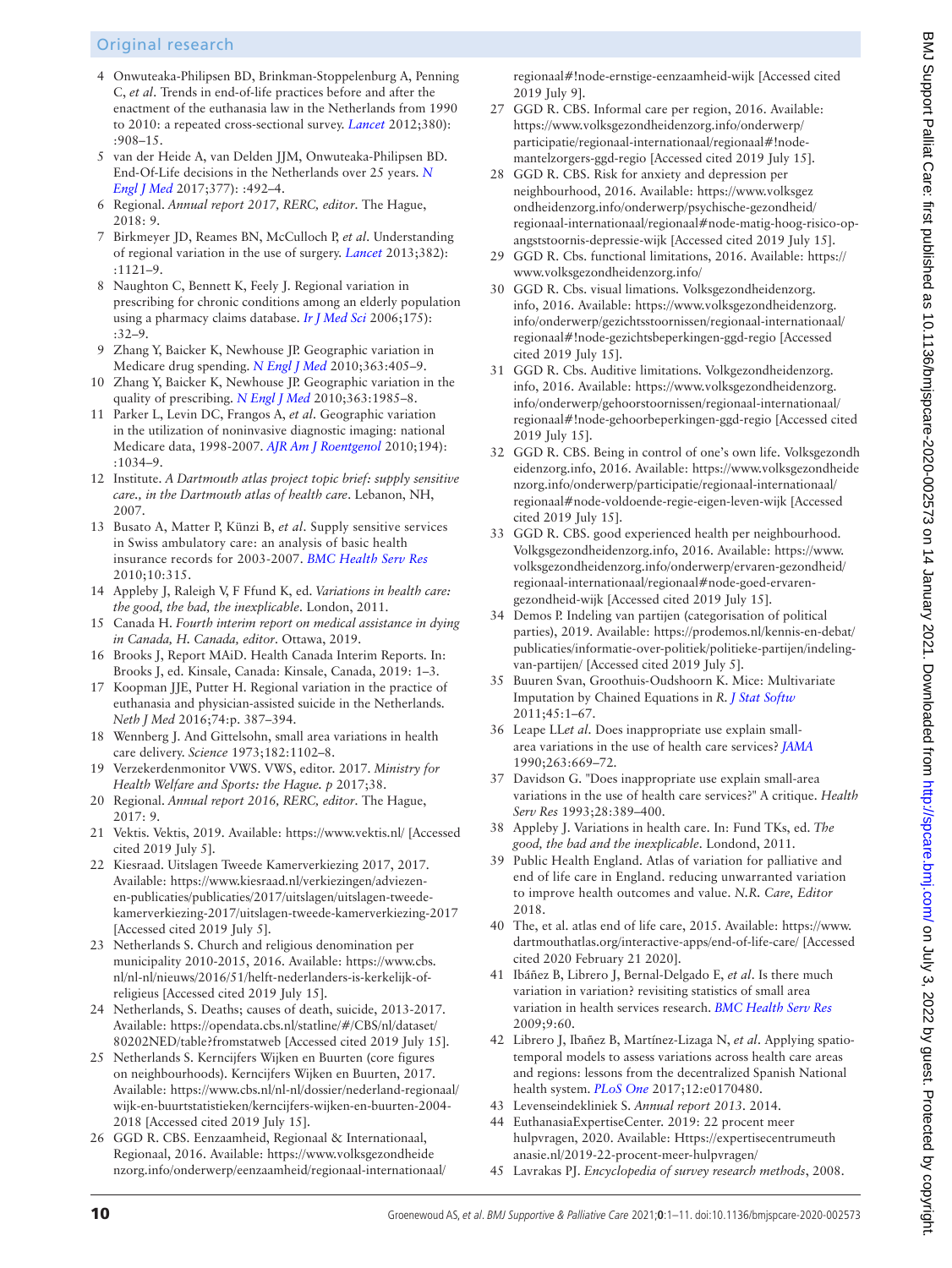# Original research

- <span id="page-9-0"></span>4 Onwuteaka-Philipsen BD, Brinkman-Stoppelenburg A, Penning C, *et al*. Trends in end-of-life practices before and after the enactment of the euthanasia law in the Netherlands from 1990 to 2010: a repeated cross-sectional survey. *[Lancet](http://dx.doi.org/10.1016/S0140-6736(12)61034-4)* 2012;380): :908–15.
- 5 van der Heide A, van Delden JJM, Onwuteaka-Philipsen BD. End-Of-Life decisions in the Netherlands over 25 years. *[N](http://dx.doi.org/10.1056/NEJMc1705630)  [Engl J Med](http://dx.doi.org/10.1056/NEJMc1705630)* 2017;377): :492–4.
- <span id="page-9-1"></span>6 Regional. *Annual report 2017, RERC, editor*. The Hague, 2018: 9.
- <span id="page-9-2"></span>7 Birkmeyer JD, Reames BN, McCulloch P, *et al*. Understanding of regional variation in the use of surgery. *[Lancet](http://dx.doi.org/10.1016/S0140-6736(13)61215-5)* 2013;382): :1121–9.
- <span id="page-9-3"></span>8 Naughton C, Bennett K, Feely J. Regional variation in prescribing for chronic conditions among an elderly population using a pharmacy claims database. *[Ir J Med Sci](http://dx.doi.org/10.1007/BF03169170)* 2006;175): :32–9.
- 9 Zhang Y, Baicker K, Newhouse JP. Geographic variation in Medicare drug spending. *[N Engl J Med](http://dx.doi.org/10.1056/NEJMp1004872)* 2010;363:405–9.
- 10 Zhang Y, Baicker K, Newhouse JP. Geographic variation in the quality of prescribing. *[N Engl J Med](http://dx.doi.org/10.1056/NEJMp1010220)* 2010;363:1985–8.
- <span id="page-9-4"></span>11 Parker L, Levin DC, Frangos A, *et al*. Geographic variation in the utilization of noninvasive diagnostic imaging: national Medicare data, 1998-2007. *[AJR Am J Roentgenol](http://dx.doi.org/10.2214/AJR.09.3528)* 2010;194): :1034–9.
- <span id="page-9-5"></span>12 Institute. *A Dartmouth atlas project topic brief: supply sensitive care., in the Dartmouth atlas of health care*. Lebanon, NH, 2007.
- 13 Busato A, Matter P, Künzi B, *et al*. Supply sensitive services in Swiss ambulatory care: an analysis of basic health insurance records for 2003-2007. *[BMC Health Serv Res](http://dx.doi.org/10.1186/1472-6963-10-315)* 2010;10:315.
- 14 Appleby J, Raleigh V, F Ffund K, ed. *Variations in health care: the good, the bad, the inexplicable*. London, 2011.
- <span id="page-9-6"></span>15 Canada H. *Fourth interim report on medical assistance in dying in Canada, H. Canada, editor*. Ottawa, 2019.
- 16 Brooks J, Report MAiD. Health Canada Interim Reports. In: Brooks J, ed. Kinsale, Canada: Kinsale, Canada, 2019: 1–3.
- <span id="page-9-7"></span>17 Koopman JJE, Putter H. Regional variation in the practice of euthanasia and physician-assisted suicide in the Netherlands. *Neth J Med* 2016;74:p. 387–394.
- <span id="page-9-8"></span>18 Wennberg J. And Gittelsohn, small area variations in health care delivery. *Science* 1973;182:1102–8.
- <span id="page-9-9"></span>19 Verzekerdenmonitor VWS. VWS, editor. 2017. *Ministry for Health Welfare and Sports: the Hague. p* 2017;38.
- <span id="page-9-10"></span>20 Regional. *Annual report 2016, RERC, editor*. The Hague, 2017: 9.
- <span id="page-9-11"></span>21 Vektis. Vektis, 2019. Available: <https://www.vektis.nl/> [Accessed cited 2019 July 5].
- <span id="page-9-12"></span>22 Kiesraad. Uitslagen Tweede Kamerverkiezing 2017, 2017. Available: [https://www.kiesraad.nl/verkiezingen/adviezen](https://www.kiesraad.nl/verkiezingen/adviezen-en-publicaties/publicaties/2017/uitslagen/uitslagen-tweede-kamerverkiezing-2017/uitslagen-tweede-kamerverkiezing-2017)[en-publicaties/publicaties/2017/uitslagen/uitslagen-tweede](https://www.kiesraad.nl/verkiezingen/adviezen-en-publicaties/publicaties/2017/uitslagen/uitslagen-tweede-kamerverkiezing-2017/uitslagen-tweede-kamerverkiezing-2017)[kamerverkiezing-2017/uitslagen-tweede-kamerverkiezing-2017](https://www.kiesraad.nl/verkiezingen/adviezen-en-publicaties/publicaties/2017/uitslagen/uitslagen-tweede-kamerverkiezing-2017/uitslagen-tweede-kamerverkiezing-2017)  [Accessed cited 2019 July 5].
- <span id="page-9-13"></span>23 Netherlands S. Church and religious denomination per municipality 2010-2015, 2016. Available: [https://www.cbs.](https://www.cbs.nl/nl-nl/nieuws/2016/51/helft-nederlanders-is-kerkelijk-of-religieus) [nl/nl-nl/nieuws/2016/51/helft-nederlanders-is-kerkelijk-of](https://www.cbs.nl/nl-nl/nieuws/2016/51/helft-nederlanders-is-kerkelijk-of-religieus)[religieus](https://www.cbs.nl/nl-nl/nieuws/2016/51/helft-nederlanders-is-kerkelijk-of-religieus) [Accessed cited 2019 July 15].
- <span id="page-9-14"></span>24 Netherlands, S. Deaths; causes of death, suicide, 2013-2017. Available: [https://opendata.cbs.nl/statline/#/CBS/nl/dataset/](https://opendata.cbs.nl/statline/#/CBS/nl/dataset/80202NED/table?fromstatweb) [80202NED/table?fromstatweb](https://opendata.cbs.nl/statline/#/CBS/nl/dataset/80202NED/table?fromstatweb) [Accessed cited 2019 July 15].
- <span id="page-9-15"></span>25 Netherlands S. Kerncijfers Wijken en Buurten (core figures on neighbourhoods). Kerncijfers Wijken en Buurten, 2017. Available: [https://www.cbs.nl/nl-nl/dossier/nederland-regionaal/](https://www.cbs.nl/nl-nl/dossier/nederland-regionaal/wijk-en-buurtstatistieken/kerncijfers-wijken-en-buurten-2004-2018) [wijk-en-buurtstatistieken/kerncijfers-wijken-en-buurten-2004-](https://www.cbs.nl/nl-nl/dossier/nederland-regionaal/wijk-en-buurtstatistieken/kerncijfers-wijken-en-buurten-2004-2018) [2018](https://www.cbs.nl/nl-nl/dossier/nederland-regionaal/wijk-en-buurtstatistieken/kerncijfers-wijken-en-buurten-2004-2018) [Accessed cited 2019 July 15].
- <span id="page-9-16"></span>26 GGD R. CBS. Eenzaamheid, Regionaal & Internationaal, Regionaal, 2016. Available: [https://www.volksgezondheide](https://www.volksgezondheidenzorg.info/onderwerp/eenzaamheid/regionaal-internationaal/regionaal#!node-ernstige-eenzaamheid-wijk) [nzorg.info/onderwerp/eenzaamheid/regionaal-internationaal/](https://www.volksgezondheidenzorg.info/onderwerp/eenzaamheid/regionaal-internationaal/regionaal#!node-ernstige-eenzaamheid-wijk)

[regionaal#!node-ernstige-eenzaamheid-wijk](https://www.volksgezondheidenzorg.info/onderwerp/eenzaamheid/regionaal-internationaal/regionaal#!node-ernstige-eenzaamheid-wijk) [Accessed cited 2019 July 91.

- <span id="page-9-17"></span>27 GGD R. CBS. Informal care per region, 2016. Available: [https://www.volksgezondheidenzorg.info/onderwerp/](https://www.volksgezondheidenzorg.info/onderwerp/participatie/regionaal-internationaal/regionaal#!node-mantelzorgers-ggd-regio) [participatie/regionaal-internationaal/regionaal#!node](https://www.volksgezondheidenzorg.info/onderwerp/participatie/regionaal-internationaal/regionaal#!node-mantelzorgers-ggd-regio)[mantelzorgers-ggd-regio](https://www.volksgezondheidenzorg.info/onderwerp/participatie/regionaal-internationaal/regionaal#!node-mantelzorgers-ggd-regio) [Accessed cited 2019 July 15].
- <span id="page-9-18"></span>28 GGD R. CBS. Risk for anxiety and depression per neighbourhood, 2016. Available: [https://www.volksgez](https://www.volksgezondheidenzorg.info/onderwerp/psychische-gezondheid/regionaal-internationaal/regionaal#node-matig-hoog-risico-op-angststoornis-depressie-wijk) [ondheidenzorg.info/onderwerp/psychische-gezondheid/](https://www.volksgezondheidenzorg.info/onderwerp/psychische-gezondheid/regionaal-internationaal/regionaal#node-matig-hoog-risico-op-angststoornis-depressie-wijk) [regionaal-internationaal/regionaal#node-matig-hoog-risico-op](https://www.volksgezondheidenzorg.info/onderwerp/psychische-gezondheid/regionaal-internationaal/regionaal#node-matig-hoog-risico-op-angststoornis-depressie-wijk)[angststoornis-depressie-wijk](https://www.volksgezondheidenzorg.info/onderwerp/psychische-gezondheid/regionaal-internationaal/regionaal#node-matig-hoog-risico-op-angststoornis-depressie-wijk) [Accessed cited 2019 July 15].
- <span id="page-9-19"></span>29 GGD R. Cbs. functional limitations, 2016. Available: [https://](https://www.volksgezondheidenzorg.info/) [www.volksgezondheidenzorg.info/](https://www.volksgezondheidenzorg.info/)
- <span id="page-9-20"></span>30 GGD R. Cbs. visual limations. Volksgezondheidenzorg. info, 2016. Available: [https://www.volksgezondheidenzorg.](https://www.volksgezondheidenzorg.info/onderwerp/gezichtsstoornissen/regionaal-internationaal/regionaal#!node-gezichtsbeperkingen-ggd-regio) [info/onderwerp/gezichtsstoornissen/regionaal-internationaal/](https://www.volksgezondheidenzorg.info/onderwerp/gezichtsstoornissen/regionaal-internationaal/regionaal#!node-gezichtsbeperkingen-ggd-regio) [regionaal#!node-gezichtsbeperkingen-ggd-regio](https://www.volksgezondheidenzorg.info/onderwerp/gezichtsstoornissen/regionaal-internationaal/regionaal#!node-gezichtsbeperkingen-ggd-regio) [Accessed cited 2019 July 15].
- <span id="page-9-21"></span>31 GGD R. Cbs. Auditive limitations. Volkgezondheidenzorg. info, 2016. Available: [https://www.volksgezondheidenzorg.](https://www.volksgezondheidenzorg.info/onderwerp/gehoorstoornissen/regionaal-internationaal/regionaal#!node-gehoorbeperkingen-ggd-regio) [info/onderwerp/gehoorstoornissen/regionaal-internationaal/](https://www.volksgezondheidenzorg.info/onderwerp/gehoorstoornissen/regionaal-internationaal/regionaal#!node-gehoorbeperkingen-ggd-regio) [regionaal#!node-gehoorbeperkingen-ggd-regio](https://www.volksgezondheidenzorg.info/onderwerp/gehoorstoornissen/regionaal-internationaal/regionaal#!node-gehoorbeperkingen-ggd-regio) [Accessed cited 2019 July 15].
- <span id="page-9-22"></span>32 GGD R. CBS. Being in control of one's own life. Volksgezondh eidenzorg.info, 2016. Available: [https://www.volksgezondheide](https://www.volksgezondheidenzorg.info/onderwerp/participatie/regionaal-internationaal/regionaal#node-voldoende-regie-eigen-leven-wijk) [nzorg.info/onderwerp/participatie/regionaal-internationaal/](https://www.volksgezondheidenzorg.info/onderwerp/participatie/regionaal-internationaal/regionaal#node-voldoende-regie-eigen-leven-wijk) [regionaal#node-voldoende-regie-eigen-leven-wijk](https://www.volksgezondheidenzorg.info/onderwerp/participatie/regionaal-internationaal/regionaal#node-voldoende-regie-eigen-leven-wijk) [Accessed cited 2019 July 15].
- <span id="page-9-23"></span>33 GGD R. CBS. good experienced health per neighbourhood. Volkgsgezondheidenzorg.info, 2016. Available: [https://www.](https://www.volksgezondheidenzorg.info/onderwerp/ervaren-gezondheid/regionaal-internationaal/regionaal#node-goed-ervaren-gezondheid-wijk) [volksgezondheidenzorg.info/onderwerp/ervaren-gezondheid/](https://www.volksgezondheidenzorg.info/onderwerp/ervaren-gezondheid/regionaal-internationaal/regionaal#node-goed-ervaren-gezondheid-wijk) [regionaal-internationaal/regionaal#node-goed-ervaren](https://www.volksgezondheidenzorg.info/onderwerp/ervaren-gezondheid/regionaal-internationaal/regionaal#node-goed-ervaren-gezondheid-wijk)[gezondheid-wijk](https://www.volksgezondheidenzorg.info/onderwerp/ervaren-gezondheid/regionaal-internationaal/regionaal#node-goed-ervaren-gezondheid-wijk) [Accessed cited 2019 July 15].
- <span id="page-9-24"></span>34 Demos P. Indeling van partijen (categorisation of political parties), 2019. Available: [https://prodemos.nl/kennis-en-debat/](https://prodemos.nl/kennis-en-debat/publicaties/informatie-over-politiek/politieke-partijen/indeling-van-partijen/) [publicaties/informatie-over-politiek/politieke-partijen/indeling](https://prodemos.nl/kennis-en-debat/publicaties/informatie-over-politiek/politieke-partijen/indeling-van-partijen/)[van-partijen/](https://prodemos.nl/kennis-en-debat/publicaties/informatie-over-politiek/politieke-partijen/indeling-van-partijen/) [Accessed cited 2019 July 5].
- <span id="page-9-25"></span>35 Buuren Svan, Groothuis-Oudshoorn K. Mice: Multivariate Imputation by Chained Equations in *R*. *[J Stat Softw](http://dx.doi.org/10.18637/jss.v045.i03)* 2011;45:1–67.
- <span id="page-9-26"></span>36 Leape LL*et al*. Does inappropriate use explain smallarea variations in the use of health care services? *[JAMA](http://dx.doi.org/10.1001/jama.1990.03440050063034)* 1990;263:669–72.
- 37 Davidson G. "Does inappropriate use explain small-area variations in the use of health care services?" A critique. *Health Serv Res* 1993;28:389–400.
- <span id="page-9-27"></span>38 Appleby J. Variations in health care. In: Fund TKs, ed. *The good, the bad and the inexplicable*. Londond, 2011.
- <span id="page-9-28"></span>39 Public Health England. Atlas of variation for palliative and end of life care in England. reducing unwarranted variation to improve health outcomes and value. *N.R. Care, Editor* 2018.
- 40 The, et al. atlas end of life care, 2015. Available: [https://www.](https://www.dartmouthatlas.org/interactive-apps/end-of-life-care/) [dartmouthatlas.org/interactive-apps/end-of-life-care/](https://www.dartmouthatlas.org/interactive-apps/end-of-life-care/) [Accessed cited 2020 February 21 2020].
- <span id="page-9-29"></span>41 Ibáñez B, Librero J, Bernal-Delgado E, *et al*. Is there much variation in variation? revisiting statistics of small area variation in health services research. *[BMC Health Serv Res](http://dx.doi.org/10.1186/1472-6963-9-60)* 2009;9:60.
- <span id="page-9-30"></span>42 Librero J, Ibañez B, Martínez-Lizaga N, *et al*. Applying spatiotemporal models to assess variations across health care areas and regions: lessons from the decentralized Spanish National health system. *[PLoS One](http://dx.doi.org/10.1371/journal.pone.0170480)* 2017;12:e0170480.
- <span id="page-9-31"></span>43 Levenseindekliniek S. *Annual report 2013*. 2014.
- <span id="page-9-32"></span>44 EuthanasiaExpertiseCenter. 2019: 22 procent meer hulpvragen, 2020. Available: [Https://expertisecentrumeuth](Https://expertisecentrumeuthanasie.nl/2019-22-procent-meer-hulpvragen/) [anasie.nl/2019-22-procent-meer-hulpvragen/](Https://expertisecentrumeuthanasie.nl/2019-22-procent-meer-hulpvragen/)
- <span id="page-9-33"></span>45 Lavrakas PJ. *Encyclopedia of survey research methods*, 2008.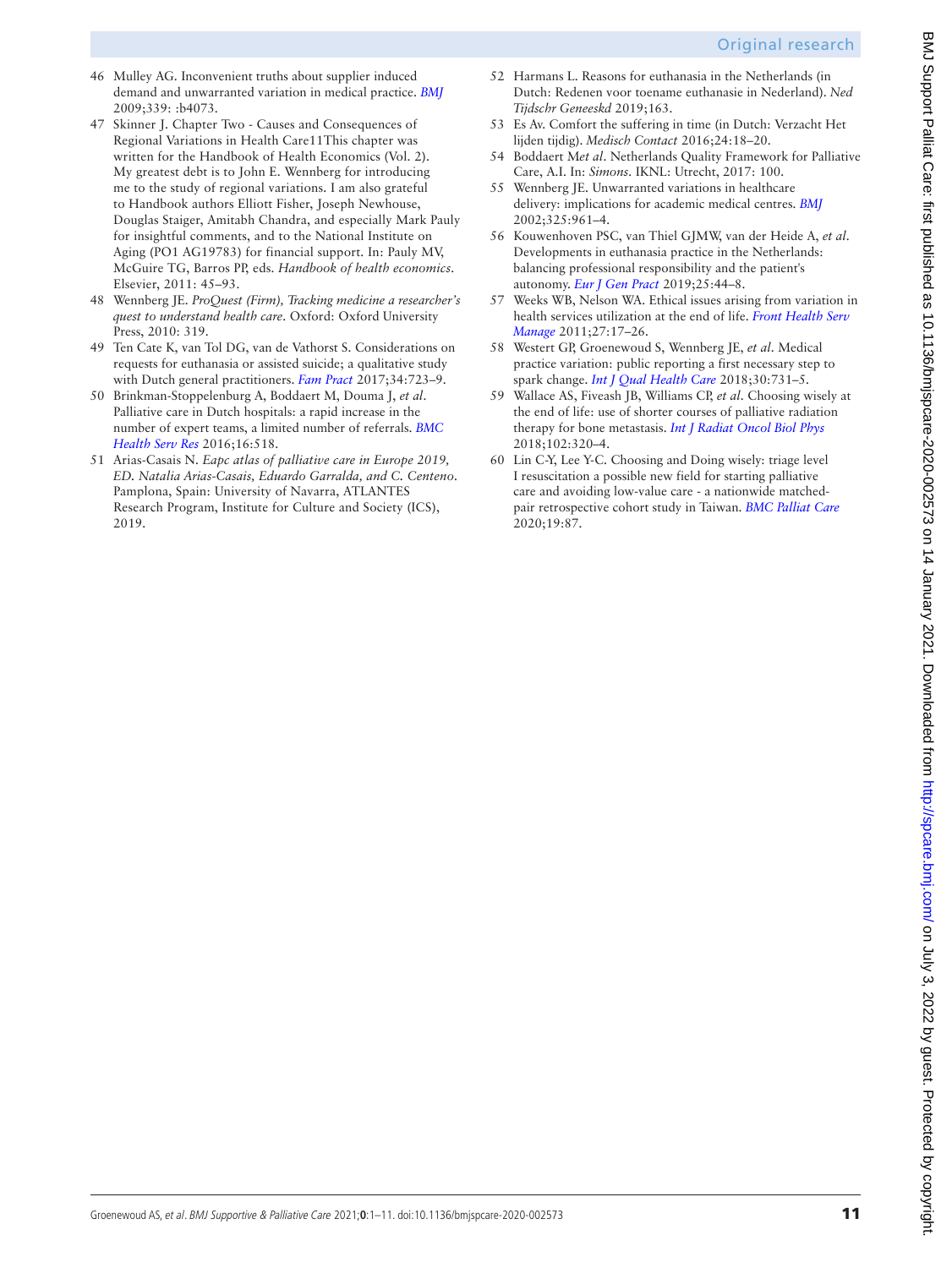# Original research

- <span id="page-10-0"></span>46 Mulley AG. Inconvenient truths about supplier induced demand and unwarranted variation in medical practice. *[BMJ](http://dx.doi.org/10.1136/bmj.b4073)* 2009;339: :b4073.
- 47 Skinner J. Chapter Two Causes and Consequences of Regional Variations in Health Care11This chapter was written for the Handbook of Health Economics (Vol. 2). My greatest debt is to John E. Wennberg for introducing me to the study of regional variations. I am also grateful to Handbook authors Elliott Fisher, Joseph Newhouse, Douglas Staiger, Amitabh Chandra, and especially Mark Pauly for insightful comments, and to the National Institute on Aging (PO1 AG19783) for financial support. In: Pauly MV, McGuire TG, Barros PP, eds. *Handbook of health economics*. Elsevier, 2011: 45–93.
- <span id="page-10-6"></span>48 Wennberg JE. *ProQuest (Firm), Tracking medicine a researcher's quest to understand health care*. Oxford: Oxford University Press, 2010: 319.
- <span id="page-10-1"></span>49 Ten Cate K, van Tol DG, van de Vathorst S. Considerations on requests for euthanasia or assisted suicide; a qualitative study with Dutch general practitioners. *[Fam Pract](http://dx.doi.org/10.1093/fampra/cmx041)* 2017;34:723–9.
- <span id="page-10-2"></span>50 Brinkman-Stoppelenburg A, Boddaert M, Douma J, *et al*. Palliative care in Dutch hospitals: a rapid increase in the number of expert teams, a limited number of referrals. *[BMC](http://dx.doi.org/10.1186/s12913-016-1770-2)  [Health Serv Res](http://dx.doi.org/10.1186/s12913-016-1770-2)* 2016;16:518.
- <span id="page-10-3"></span>51 Arias-Casais N. *Eapc atlas of palliative care in Europe 2019, ED. Natalia Arias-Casais, Eduardo Garralda, and C. Centeno*. Pamplona, Spain: University of Navarra, ATLANTES Research Program, Institute for Culture and Society (ICS), 2019.
- <span id="page-10-4"></span>52 Harmans L. Reasons for euthanasia in the Netherlands (in Dutch: Redenen voor toename euthanasie in Nederland). *Ned Tijdschr Geneeskd* 2019;163.
- 53 Es Av. Comfort the suffering in time (in Dutch: Verzacht Het lijden tijdig). *Medisch Contact* 2016;24:18–20.
- <span id="page-10-5"></span>54 Boddaert M*et al*. Netherlands Quality Framework for Palliative Care, A.I. In: *Simons*. IKNL: Utrecht, 2017: 100.
- 55 Wennberg JE. Unwarranted variations in healthcare delivery: implications for academic medical centres. *[BMJ](http://dx.doi.org/10.1136/bmj.325.7370.961)* 2002;325:961–4.
- <span id="page-10-7"></span>56 Kouwenhoven PSC, van Thiel GJMW, van der Heide A, *et al*. Developments in euthanasia practice in the Netherlands: balancing professional responsibility and the patient's autonomy. *[Eur J Gen Pract](http://dx.doi.org/10.1080/13814788.2018.1517154)* 2019;25:44–8.
- <span id="page-10-8"></span>57 Weeks WB, Nelson WA. Ethical issues arising from variation in health services utilization at the end of life. *[Front Health Serv](http://dx.doi.org/10.1097/01974520-201101000-00003)  [Manage](http://dx.doi.org/10.1097/01974520-201101000-00003)* 2011;27:17–26.
- <span id="page-10-9"></span>58 Westert GP, Groenewoud S, Wennberg JE, *et al*. Medical practice variation: public reporting a first necessary step to spark change. *[Int J Qual Health Care](http://dx.doi.org/10.1093/intqhc/mzy092)* 2018;30:731–5.
- <span id="page-10-10"></span>59 Wallace AS, Fiveash JB, Williams CP, *et al*. Choosing wisely at the end of life: use of shorter courses of palliative radiation therapy for bone metastasis. *[Int J Radiat Oncol Biol Phys](http://dx.doi.org/10.1016/j.ijrobp.2018.05.061)* 2018;102:320–4.
- 60 Lin C-Y, Lee Y-C. Choosing and Doing wisely: triage level I resuscitation a possible new field for starting palliative care and avoiding low-value care - a nationwide matchedpair retrospective cohort study in Taiwan. *[BMC Palliat Care](http://dx.doi.org/10.1186/s12904-020-00590-5)* 2020;19:87.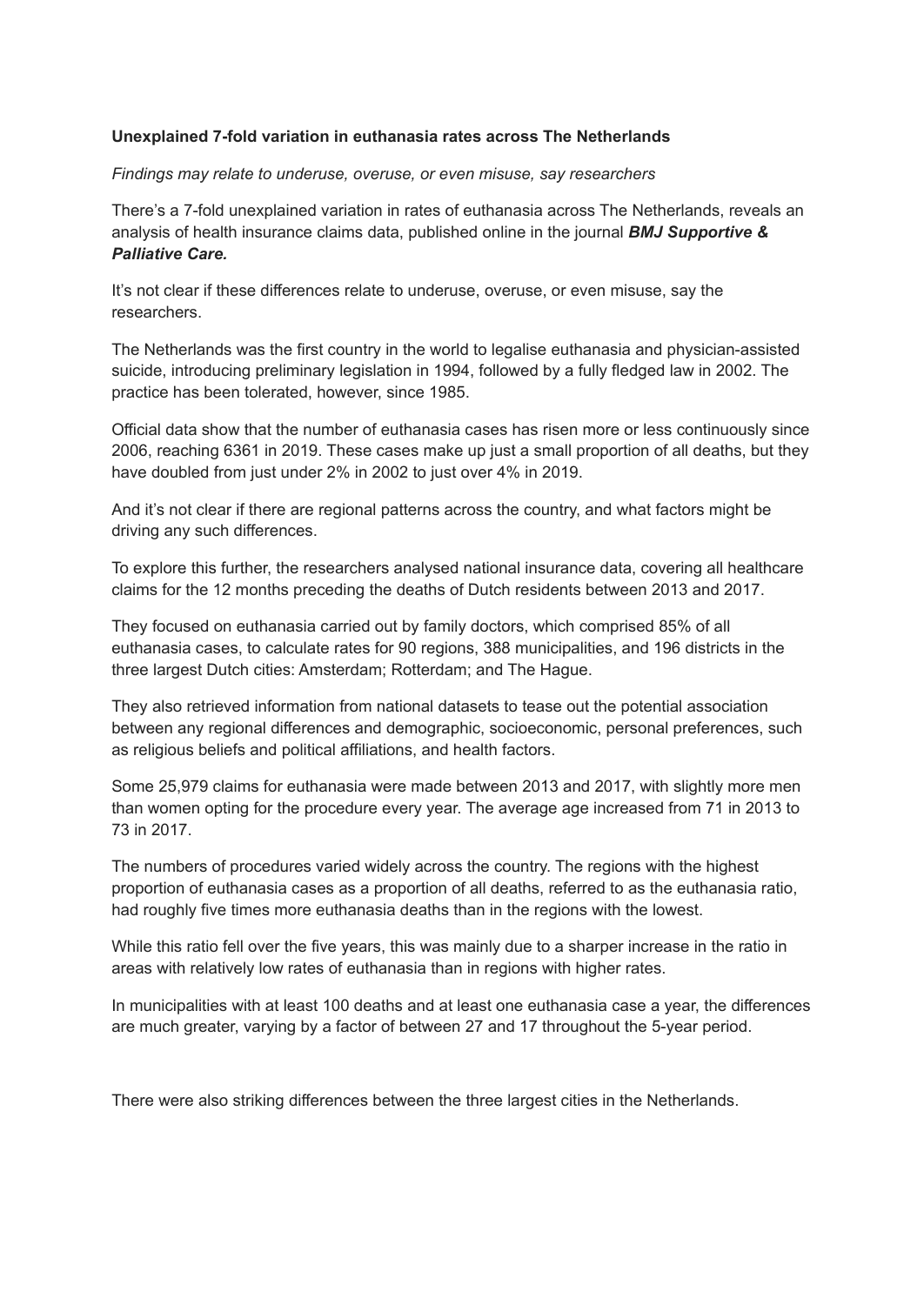# **Unexplained 7-fold variation in euthanasia rates across The Netherlands**

# *Findings may relate to underuse, overuse, or even misuse, say researchers*

There's a 7-fold unexplained variation in rates of euthanasia across The Netherlands, reveals an analysis of health insurance claims data, published online in the journal *BMJ Supportive & Palliative Care.*

It's not clear if these differences relate to underuse, overuse, or even misuse, say the researchers.

The Netherlands was the first country in the world to legalise euthanasia and physician-assisted suicide, introducing preliminary legislation in 1994, followed by a fully fledged law in 2002. The practice has been tolerated, however, since 1985.

Official data show that the number of euthanasia cases has risen more or less continuously since 2006, reaching 6361 in 2019. These cases make up just a small proportion of all deaths, but they have doubled from just under 2% in 2002 to just over 4% in 2019.

And it's not clear if there are regional patterns across the country, and what factors might be driving any such differences.

To explore this further, the researchers analysed national insurance data, covering all healthcare claims for the 12 months preceding the deaths of Dutch residents between 2013 and 2017.

They focused on euthanasia carried out by family doctors, which comprised 85% of all euthanasia cases, to calculate rates for 90 regions, 388 municipalities, and 196 districts in the three largest Dutch cities: Amsterdam; Rotterdam; and The Hague.

They also retrieved information from national datasets to tease out the potential association between any regional differences and demographic, socioeconomic, personal preferences, such as religious beliefs and political affiliations, and health factors.

Some 25,979 claims for euthanasia were made between 2013 and 2017, with slightly more men than women opting for the procedure every year. The average age increased from 71 in 2013 to 73 in 2017.

The numbers of procedures varied widely across the country. The regions with the highest proportion of euthanasia cases as a proportion of all deaths, referred to as the euthanasia ratio, had roughly five times more euthanasia deaths than in the regions with the lowest.

While this ratio fell over the five years, this was mainly due to a sharper increase in the ratio in areas with relatively low rates of euthanasia than in regions with higher rates.

In municipalities with at least 100 deaths and at least one euthanasia case a year, the differences are much greater, varying by a factor of between 27 and 17 throughout the 5-year period.

There were also striking differences between the three largest cities in the Netherlands.